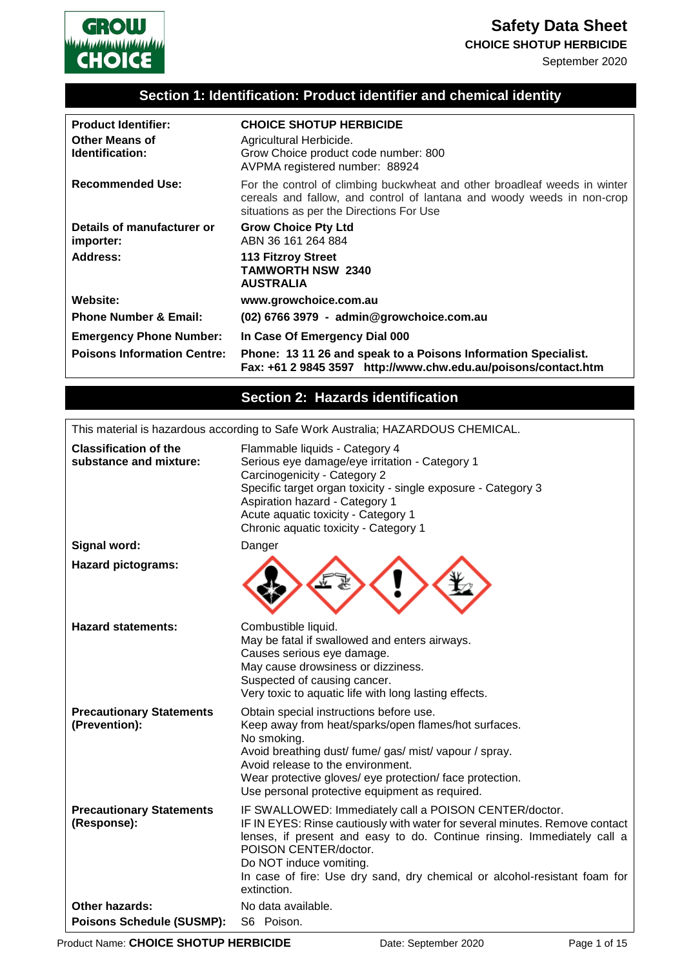

# **Safety Data Sheet**

#### **CHOICE SHOTUP HERBICIDE**

September 2020

### **Section 1: Identification: Product identifier and chemical identity**

| <b>Product Identifier:</b><br><b>Other Means of</b><br>Identification: | <b>CHOICE SHOTUP HERBICIDE</b><br>Agricultural Herbicide.<br>Grow Choice product code number: 800<br>AVPMA registered number: 88924                                                             |
|------------------------------------------------------------------------|-------------------------------------------------------------------------------------------------------------------------------------------------------------------------------------------------|
| <b>Recommended Use:</b>                                                | For the control of climbing buckwheat and other broadleaf weeds in winter<br>cereals and fallow, and control of lantana and woody weeds in non-crop<br>situations as per the Directions For Use |
| Details of manufacturer or<br>importer:                                | <b>Grow Choice Pty Ltd</b><br>ABN 36 161 264 884                                                                                                                                                |
| Address:                                                               | 113 Fitzroy Street<br><b>TAMWORTH NSW 2340</b><br><b>AUSTRALIA</b>                                                                                                                              |
| Website:                                                               | www.growchoice.com.au                                                                                                                                                                           |
| <b>Phone Number &amp; Email:</b>                                       | (02) 6766 3979 - admin@growchoice.com.au                                                                                                                                                        |
| <b>Emergency Phone Number:</b>                                         | In Case Of Emergency Dial 000                                                                                                                                                                   |
| <b>Poisons Information Centre:</b>                                     | Phone: 13 11 26 and speak to a Poisons Information Specialist.<br>Fax: +61 2 9845 3597 http://www.chw.edu.au/poisons/contact.htm                                                                |

### **Section 2: Hazards identification**

This material is hazardous according to Safe Work Australia; HAZARDOUS CHEMICAL.

| <b>Classification of the</b><br>substance and mixture: | Flammable liquids - Category 4<br>Serious eye damage/eye irritation - Category 1<br>Carcinogenicity - Category 2<br>Specific target organ toxicity - single exposure - Category 3<br>Aspiration hazard - Category 1<br>Acute aquatic toxicity - Category 1<br>Chronic aquatic toxicity - Category 1                                                              |
|--------------------------------------------------------|------------------------------------------------------------------------------------------------------------------------------------------------------------------------------------------------------------------------------------------------------------------------------------------------------------------------------------------------------------------|
| Signal word:                                           | Danger                                                                                                                                                                                                                                                                                                                                                           |
| <b>Hazard pictograms:</b>                              |                                                                                                                                                                                                                                                                                                                                                                  |
| <b>Hazard statements:</b>                              | Combustible liquid.<br>May be fatal if swallowed and enters airways.<br>Causes serious eye damage.<br>May cause drowsiness or dizziness.<br>Suspected of causing cancer.<br>Very toxic to aquatic life with long lasting effects.                                                                                                                                |
| <b>Precautionary Statements</b><br>(Prevention):       | Obtain special instructions before use.<br>Keep away from heat/sparks/open flames/hot surfaces.<br>No smoking.<br>Avoid breathing dust/fume/gas/mist/vapour/spray.<br>Avoid release to the environment.<br>Wear protective gloves/ eye protection/ face protection.<br>Use personal protective equipment as required.                                            |
| <b>Precautionary Statements</b><br>(Response):         | IF SWALLOWED: Immediately call a POISON CENTER/doctor.<br>IF IN EYES: Rinse cautiously with water for several minutes. Remove contact<br>lenses, if present and easy to do. Continue rinsing. Immediately call a<br>POISON CENTER/doctor.<br>Do NOT induce vomiting.<br>In case of fire: Use dry sand, dry chemical or alcohol-resistant foam for<br>extinction. |
| <b>Other hazards:</b>                                  | No data available.                                                                                                                                                                                                                                                                                                                                               |
| <b>Poisons Schedule (SUSMP):</b>                       | S6 Poison.                                                                                                                                                                                                                                                                                                                                                       |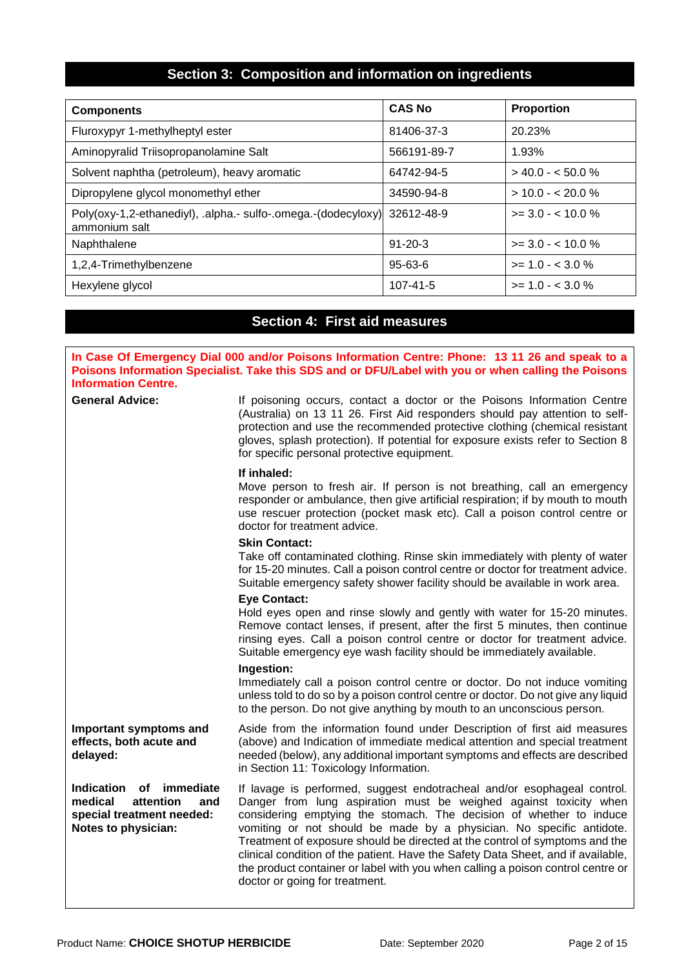### **Section 3: Composition and information on ingredients**

| <b>Components</b>                                                                         | <b>CAS No</b>  | <b>Proportion</b>      |
|-------------------------------------------------------------------------------------------|----------------|------------------------|
| Fluroxypyr 1-methylheptyl ester                                                           | 81406-37-3     | 20.23%                 |
| Aminopyralid Triisopropanolamine Salt                                                     | 566191-89-7    | 1.93%                  |
| Solvent naphtha (petroleum), heavy aromatic                                               | 64742-94-5     | $> 40.0 - 50.0 %$      |
| Dipropylene glycol monomethyl ether                                                       | 34590-94-8     | $>$ 10.0 - < 20.0 %    |
| Poly(oxy-1,2-ethanediyl), .alpha.- sulfo-.omega.-(dodecyloxy) 32612-48-9<br>ammonium salt |                | $\geq$ 3.0 - < 10.0 %  |
| Naphthalene                                                                               | $91 - 20 - 3$  | $\ge$ = 3.0 - < 10.0 % |
| 1,2,4-Trimethylbenzene                                                                    | $95 - 63 - 6$  | $>= 1.0 - < 3.0 \%$    |
| Hexylene glycol                                                                           | $107 - 41 - 5$ | $>= 1.0 - < 3.0 \%$    |

## **Section 4: First aid measures**

| <b>Information Centre.</b>                                                                                    | In Case Of Emergency Dial 000 and/or Poisons Information Centre: Phone: 13 11 26 and speak to a<br>Poisons Information Specialist. Take this SDS and or DFU/Label with you or when calling the Poisons                                                                                                                                                                                                                                                                                                                                                                              |
|---------------------------------------------------------------------------------------------------------------|-------------------------------------------------------------------------------------------------------------------------------------------------------------------------------------------------------------------------------------------------------------------------------------------------------------------------------------------------------------------------------------------------------------------------------------------------------------------------------------------------------------------------------------------------------------------------------------|
| <b>General Advice:</b>                                                                                        | If poisoning occurs, contact a doctor or the Poisons Information Centre<br>(Australia) on 13 11 26. First Aid responders should pay attention to self-<br>protection and use the recommended protective clothing (chemical resistant<br>gloves, splash protection). If potential for exposure exists refer to Section 8<br>for specific personal protective equipment.                                                                                                                                                                                                              |
|                                                                                                               | If inhaled:<br>Move person to fresh air. If person is not breathing, call an emergency<br>responder or ambulance, then give artificial respiration; if by mouth to mouth<br>use rescuer protection (pocket mask etc). Call a poison control centre or<br>doctor for treatment advice.                                                                                                                                                                                                                                                                                               |
|                                                                                                               | <b>Skin Contact:</b><br>Take off contaminated clothing. Rinse skin immediately with plenty of water<br>for 15-20 minutes. Call a poison control centre or doctor for treatment advice.<br>Suitable emergency safety shower facility should be available in work area.                                                                                                                                                                                                                                                                                                               |
|                                                                                                               | <b>Eye Contact:</b><br>Hold eyes open and rinse slowly and gently with water for 15-20 minutes.<br>Remove contact lenses, if present, after the first 5 minutes, then continue<br>rinsing eyes. Call a poison control centre or doctor for treatment advice.<br>Suitable emergency eye wash facility should be immediately available.                                                                                                                                                                                                                                               |
|                                                                                                               | Ingestion:<br>Immediately call a poison control centre or doctor. Do not induce vomiting<br>unless told to do so by a poison control centre or doctor. Do not give any liquid<br>to the person. Do not give anything by mouth to an unconscious person.                                                                                                                                                                                                                                                                                                                             |
| Important symptoms and<br>effects, both acute and<br>delayed:                                                 | Aside from the information found under Description of first aid measures<br>(above) and Indication of immediate medical attention and special treatment<br>needed (below), any additional important symptoms and effects are described<br>in Section 11: Toxicology Information.                                                                                                                                                                                                                                                                                                    |
| Indication<br>of immediate<br>medical<br>attention<br>and<br>special treatment needed:<br>Notes to physician: | If lavage is performed, suggest endotracheal and/or esophageal control.<br>Danger from lung aspiration must be weighed against toxicity when<br>considering emptying the stomach. The decision of whether to induce<br>vomiting or not should be made by a physician. No specific antidote.<br>Treatment of exposure should be directed at the control of symptoms and the<br>clinical condition of the patient. Have the Safety Data Sheet, and if available,<br>the product container or label with you when calling a poison control centre or<br>doctor or going for treatment. |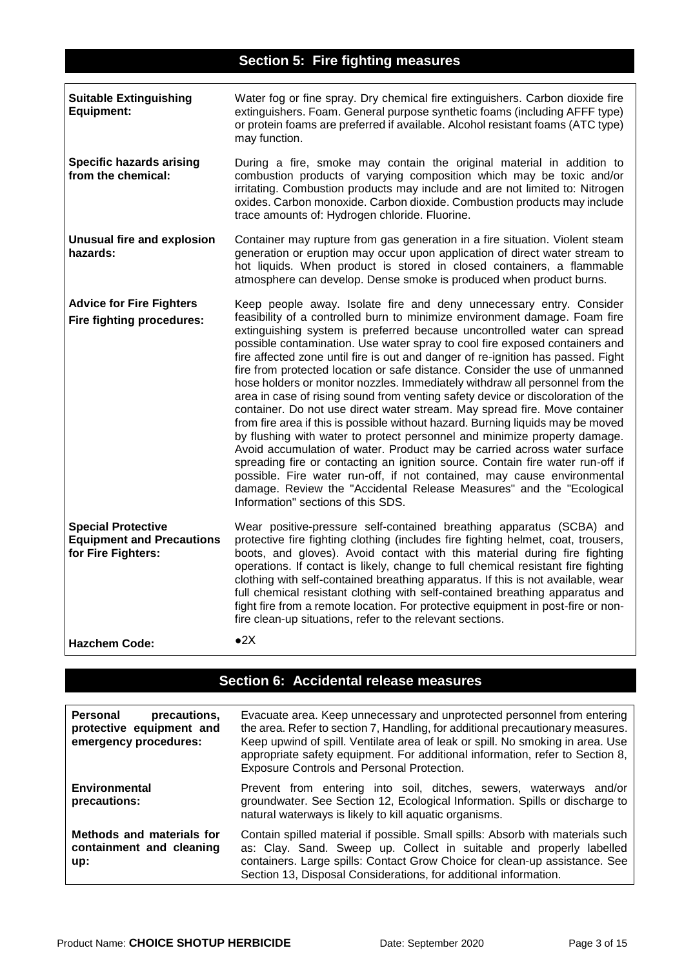| <b>Suitable Extinguishing</b><br><b>Equipment:</b>                                  | Water fog or fine spray. Dry chemical fire extinguishers. Carbon dioxide fire<br>extinguishers. Foam. General purpose synthetic foams (including AFFF type)<br>or protein foams are preferred if available. Alcohol resistant foams (ATC type)<br>may function.                                                                                                                                                                                                                                                                                                                                                                                                                                                                                                                                                                                                                                                                                                                                                                                                                                                                                                                                                                                        |
|-------------------------------------------------------------------------------------|--------------------------------------------------------------------------------------------------------------------------------------------------------------------------------------------------------------------------------------------------------------------------------------------------------------------------------------------------------------------------------------------------------------------------------------------------------------------------------------------------------------------------------------------------------------------------------------------------------------------------------------------------------------------------------------------------------------------------------------------------------------------------------------------------------------------------------------------------------------------------------------------------------------------------------------------------------------------------------------------------------------------------------------------------------------------------------------------------------------------------------------------------------------------------------------------------------------------------------------------------------|
| <b>Specific hazards arising</b><br>from the chemical:                               | During a fire, smoke may contain the original material in addition to<br>combustion products of varying composition which may be toxic and/or<br>irritating. Combustion products may include and are not limited to: Nitrogen<br>oxides. Carbon monoxide. Carbon dioxide. Combustion products may include<br>trace amounts of: Hydrogen chloride. Fluorine.                                                                                                                                                                                                                                                                                                                                                                                                                                                                                                                                                                                                                                                                                                                                                                                                                                                                                            |
| <b>Unusual fire and explosion</b><br>hazards:                                       | Container may rupture from gas generation in a fire situation. Violent steam<br>generation or eruption may occur upon application of direct water stream to<br>hot liquids. When product is stored in closed containers, a flammable<br>atmosphere can develop. Dense smoke is produced when product burns.                                                                                                                                                                                                                                                                                                                                                                                                                                                                                                                                                                                                                                                                                                                                                                                                                                                                                                                                            |
| <b>Advice for Fire Fighters</b><br>Fire fighting procedures:                        | Keep people away. Isolate fire and deny unnecessary entry. Consider<br>feasibility of a controlled burn to minimize environment damage. Foam fire<br>extinguishing system is preferred because uncontrolled water can spread<br>possible contamination. Use water spray to cool fire exposed containers and<br>fire affected zone until fire is out and danger of re-ignition has passed. Fight<br>fire from protected location or safe distance. Consider the use of unmanned<br>hose holders or monitor nozzles. Immediately withdraw all personnel from the<br>area in case of rising sound from venting safety device or discoloration of the<br>container. Do not use direct water stream. May spread fire. Move container<br>from fire area if this is possible without hazard. Burning liquids may be moved<br>by flushing with water to protect personnel and minimize property damage.<br>Avoid accumulation of water. Product may be carried across water surface<br>spreading fire or contacting an ignition source. Contain fire water run-off if<br>possible. Fire water run-off, if not contained, may cause environmental<br>damage. Review the "Accidental Release Measures" and the "Ecological<br>Information" sections of this SDS. |
| <b>Special Protective</b><br><b>Equipment and Precautions</b><br>for Fire Fighters: | Wear positive-pressure self-contained breathing apparatus (SCBA) and<br>protective fire fighting clothing (includes fire fighting helmet, coat, trousers,<br>boots, and gloves). Avoid contact with this material during fire fighting<br>operations. If contact is likely, change to full chemical resistant fire fighting<br>clothing with self-contained breathing apparatus. If this is not available, wear<br>full chemical resistant clothing with self-contained breathing apparatus and<br>fight fire from a remote location. For protective equipment in post-fire or non-<br>fire clean-up situations, refer to the relevant sections.                                                                                                                                                                                                                                                                                                                                                                                                                                                                                                                                                                                                       |
| <b>Hazchem Code:</b>                                                                | $\bullet 2X$                                                                                                                                                                                                                                                                                                                                                                                                                                                                                                                                                                                                                                                                                                                                                                                                                                                                                                                                                                                                                                                                                                                                                                                                                                           |

# **Section 6: Accidental release measures**

| Personal<br>precautions.<br>protective equipment and<br>emergency procedures: | Evacuate area. Keep unnecessary and unprotected personnel from entering<br>the area. Refer to section 7, Handling, for additional precautionary measures.<br>Keep upwind of spill. Ventilate area of leak or spill. No smoking in area. Use<br>appropriate safety equipment. For additional information, refer to Section 8,<br>Exposure Controls and Personal Protection. |
|-------------------------------------------------------------------------------|----------------------------------------------------------------------------------------------------------------------------------------------------------------------------------------------------------------------------------------------------------------------------------------------------------------------------------------------------------------------------|
| Environmental<br>precautions:                                                 | Prevent from entering into soil, ditches, sewers, waterways and/or<br>groundwater. See Section 12, Ecological Information. Spills or discharge to<br>natural waterways is likely to kill aquatic organisms.                                                                                                                                                                |
| Methods and materials for<br>containment and cleaning<br>up:                  | Contain spilled material if possible. Small spills: Absorb with materials such<br>as: Clay. Sand. Sweep up. Collect in suitable and properly labelled<br>containers. Large spills: Contact Grow Choice for clean-up assistance. See<br>Section 13, Disposal Considerations, for additional information.                                                                    |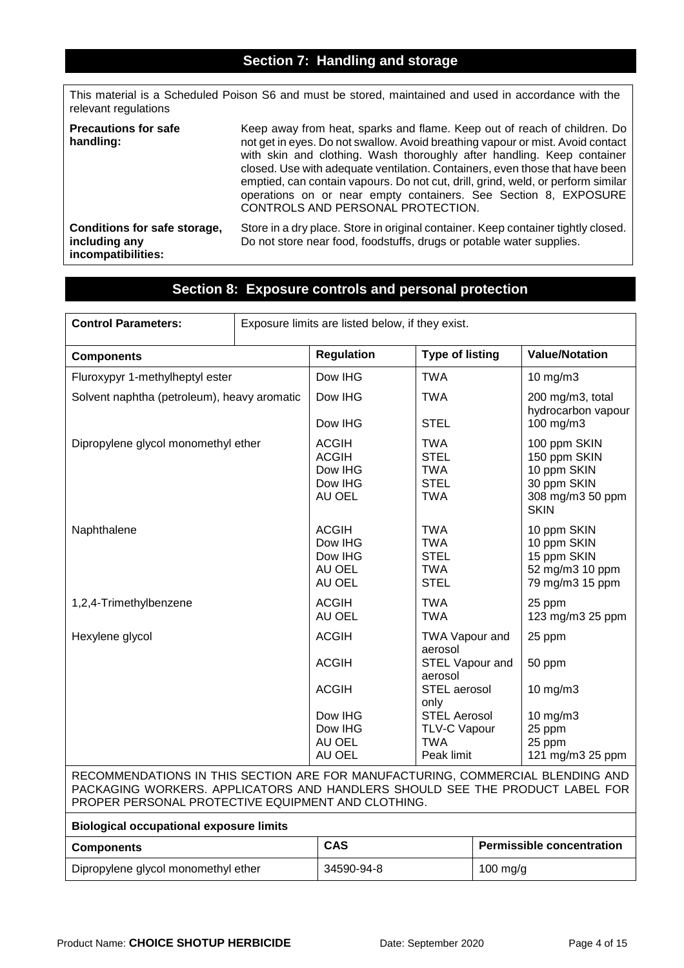### **Section 7: Handling and storage**

This material is a Scheduled Poison S6 and must be stored, maintained and used in accordance with the relevant regulations

| <b>Precautions for safe</b><br>handling:                            | Keep away from heat, sparks and flame. Keep out of reach of children. Do<br>not get in eyes. Do not swallow. Avoid breathing vapour or mist. Avoid contact<br>with skin and clothing. Wash thoroughly after handling. Keep container<br>closed. Use with adequate ventilation. Containers, even those that have been<br>emptied, can contain vapours. Do not cut, drill, grind, weld, or perform similar<br>operations on or near empty containers. See Section 8, EXPOSURE<br>CONTROLS AND PERSONAL PROTECTION. |
|---------------------------------------------------------------------|------------------------------------------------------------------------------------------------------------------------------------------------------------------------------------------------------------------------------------------------------------------------------------------------------------------------------------------------------------------------------------------------------------------------------------------------------------------------------------------------------------------|
| Conditions for safe storage,<br>including any<br>incompatibilities: | Store in a dry place. Store in original container. Keep container tightly closed.<br>Do not store near food, foodstuffs, drugs or potable water supplies.                                                                                                                                                                                                                                                                                                                                                        |

# **Section 8: Exposure controls and personal protection**

| <b>Control Parameters:</b>                                                                                                                                                                                           | Exposure limits are listed below, if they exist. |                                                              |                                                                        |  |                                                                                               |  |
|----------------------------------------------------------------------------------------------------------------------------------------------------------------------------------------------------------------------|--------------------------------------------------|--------------------------------------------------------------|------------------------------------------------------------------------|--|-----------------------------------------------------------------------------------------------|--|
| <b>Components</b>                                                                                                                                                                                                    |                                                  | <b>Regulation</b>                                            | <b>Type of listing</b>                                                 |  | <b>Value/Notation</b>                                                                         |  |
| Fluroxypyr 1-methylheptyl ester                                                                                                                                                                                      |                                                  | Dow IHG                                                      | <b>TWA</b>                                                             |  | $10$ mg/m $3$                                                                                 |  |
| Solvent naphtha (petroleum), heavy aromatic                                                                                                                                                                          |                                                  | Dow IHG<br>Dow IHG                                           | <b>TWA</b><br><b>STEL</b>                                              |  | 200 mg/m3, total<br>hydrocarbon vapour<br>100 mg/m3                                           |  |
| Dipropylene glycol monomethyl ether                                                                                                                                                                                  |                                                  | <b>ACGIH</b><br><b>ACGIH</b><br>Dow IHG<br>Dow IHG<br>AU OEL | <b>TWA</b><br><b>STEL</b><br><b>TWA</b><br><b>STEL</b><br><b>TWA</b>   |  | 100 ppm SKIN<br>150 ppm SKIN<br>10 ppm SKIN<br>30 ppm SKIN<br>308 mg/m3 50 ppm<br><b>SKIN</b> |  |
| Naphthalene                                                                                                                                                                                                          |                                                  | <b>ACGIH</b><br>Dow IHG<br>Dow IHG<br>AU OEL<br>AU OEL       | <b>TWA</b><br><b>TWA</b><br><b>STEL</b><br><b>TWA</b><br><b>STEL</b>   |  | 10 ppm SKIN<br>10 ppm SKIN<br>15 ppm SKIN<br>52 mg/m3 10 ppm<br>79 mg/m3 15 ppm               |  |
| 1,2,4-Trimethylbenzene                                                                                                                                                                                               |                                                  | <b>ACGIH</b><br>AU OEL                                       | <b>TWA</b><br><b>TWA</b>                                               |  | 25 ppm<br>123 mg/m3 25 ppm                                                                    |  |
| Hexylene glycol                                                                                                                                                                                                      |                                                  | <b>ACGIH</b>                                                 | TWA Vapour and<br>aerosol                                              |  | 25 ppm                                                                                        |  |
|                                                                                                                                                                                                                      |                                                  | <b>ACGIH</b>                                                 | STEL Vapour and<br>aerosol                                             |  | 50 ppm                                                                                        |  |
|                                                                                                                                                                                                                      |                                                  | <b>ACGIH</b>                                                 | STEL aerosol<br>only                                                   |  | 10 mg/m3                                                                                      |  |
|                                                                                                                                                                                                                      |                                                  | Dow IHG<br>Dow IHG<br>AU OEL<br>AU OEL                       | <b>STEL Aerosol</b><br><b>TLV-C Vapour</b><br><b>TWA</b><br>Peak limit |  | 10 mg/m3<br>25 ppm<br>25 ppm<br>121 mg/m3 25 ppm                                              |  |
| RECOMMENDATIONS IN THIS SECTION ARE FOR MANUFACTURING, COMMERCIAL BLENDING AND<br>PACKAGING WORKERS. APPLICATORS AND HANDLERS SHOULD SEE THE PRODUCT LABEL FOR<br>PROPER PERSONAL PROTECTIVE EQUIPMENT AND CLOTHING. |                                                  |                                                              |                                                                        |  |                                                                                               |  |
| <b>Biological occupational exposure limits</b>                                                                                                                                                                       |                                                  |                                                              |                                                                        |  |                                                                                               |  |
| <b>Components</b>                                                                                                                                                                                                    |                                                  | <b>CAS</b>                                                   |                                                                        |  | <b>Permissible concentration</b>                                                              |  |
| Dipropylene glycol monomethyl ether                                                                                                                                                                                  |                                                  | 34590-94-8                                                   |                                                                        |  | $100$ mg/g                                                                                    |  |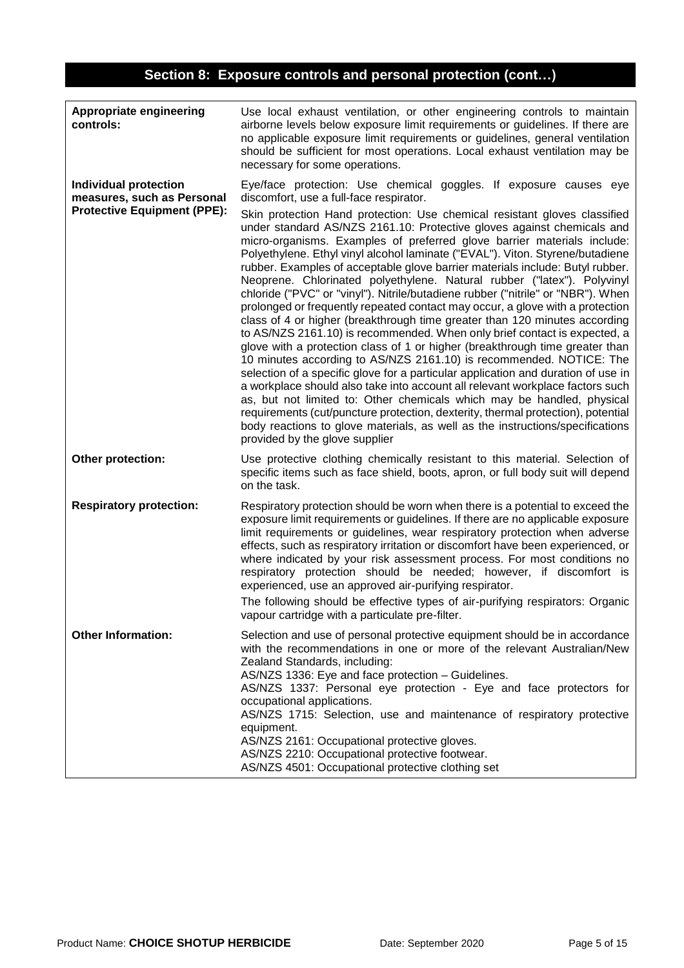# **Section 8: Exposure controls and personal protection (cont…)**

| Appropriate engineering<br>controls:                                                             | Use local exhaust ventilation, or other engineering controls to maintain<br>airborne levels below exposure limit requirements or guidelines. If there are<br>no applicable exposure limit requirements or guidelines, general ventilation<br>should be sufficient for most operations. Local exhaust ventilation may be<br>necessary for some operations.                                                                                                                                                                                                                                                                                                                                                                                                                                                                                                                                                                                                                                                                                                                                                                                                                                                                                                                                                                                                                                                                                                                                                                                 |
|--------------------------------------------------------------------------------------------------|-------------------------------------------------------------------------------------------------------------------------------------------------------------------------------------------------------------------------------------------------------------------------------------------------------------------------------------------------------------------------------------------------------------------------------------------------------------------------------------------------------------------------------------------------------------------------------------------------------------------------------------------------------------------------------------------------------------------------------------------------------------------------------------------------------------------------------------------------------------------------------------------------------------------------------------------------------------------------------------------------------------------------------------------------------------------------------------------------------------------------------------------------------------------------------------------------------------------------------------------------------------------------------------------------------------------------------------------------------------------------------------------------------------------------------------------------------------------------------------------------------------------------------------------|
| <b>Individual protection</b><br>measures, such as Personal<br><b>Protective Equipment (PPE):</b> | Eye/face protection: Use chemical goggles. If exposure causes eye<br>discomfort, use a full-face respirator.<br>Skin protection Hand protection: Use chemical resistant gloves classified<br>under standard AS/NZS 2161.10: Protective gloves against chemicals and<br>micro-organisms. Examples of preferred glove barrier materials include:<br>Polyethylene. Ethyl vinyl alcohol laminate ("EVAL"). Viton. Styrene/butadiene<br>rubber. Examples of acceptable glove barrier materials include: Butyl rubber.<br>Neoprene. Chlorinated polyethylene. Natural rubber ("latex"). Polyvinyl<br>chloride ("PVC" or "vinyl"). Nitrile/butadiene rubber ("nitrile" or "NBR"). When<br>prolonged or frequently repeated contact may occur, a glove with a protection<br>class of 4 or higher (breakthrough time greater than 120 minutes according<br>to AS/NZS 2161.10) is recommended. When only brief contact is expected, a<br>glove with a protection class of 1 or higher (breakthrough time greater than<br>10 minutes according to AS/NZS 2161.10) is recommended. NOTICE: The<br>selection of a specific glove for a particular application and duration of use in<br>a workplace should also take into account all relevant workplace factors such<br>as, but not limited to: Other chemicals which may be handled, physical<br>requirements (cut/puncture protection, dexterity, thermal protection), potential<br>body reactions to glove materials, as well as the instructions/specifications<br>provided by the glove supplier |
| Other protection:                                                                                | Use protective clothing chemically resistant to this material. Selection of<br>specific items such as face shield, boots, apron, or full body suit will depend<br>on the task.                                                                                                                                                                                                                                                                                                                                                                                                                                                                                                                                                                                                                                                                                                                                                                                                                                                                                                                                                                                                                                                                                                                                                                                                                                                                                                                                                            |
| <b>Respiratory protection:</b>                                                                   | Respiratory protection should be worn when there is a potential to exceed the<br>exposure limit requirements or guidelines. If there are no applicable exposure<br>limit requirements or guidelines, wear respiratory protection when adverse<br>effects, such as respiratory irritation or discomfort have been experienced, or<br>where indicated by your risk assessment process. For most conditions no<br>respiratory protection should be needed; however, if discomfort is<br>experienced, use an approved air-purifying respirator.<br>The following should be effective types of air-purifying respirators: Organic<br>vapour cartridge with a particulate pre-filter.                                                                                                                                                                                                                                                                                                                                                                                                                                                                                                                                                                                                                                                                                                                                                                                                                                                           |
| <b>Other Information:</b>                                                                        | Selection and use of personal protective equipment should be in accordance<br>with the recommendations in one or more of the relevant Australian/New<br>Zealand Standards, including:<br>AS/NZS 1336: Eye and face protection - Guidelines.<br>AS/NZS 1337: Personal eye protection - Eye and face protectors for<br>occupational applications.<br>AS/NZS 1715: Selection, use and maintenance of respiratory protective<br>equipment.<br>AS/NZS 2161: Occupational protective gloves.<br>AS/NZS 2210: Occupational protective footwear.<br>AS/NZS 4501: Occupational protective clothing set                                                                                                                                                                                                                                                                                                                                                                                                                                                                                                                                                                                                                                                                                                                                                                                                                                                                                                                                             |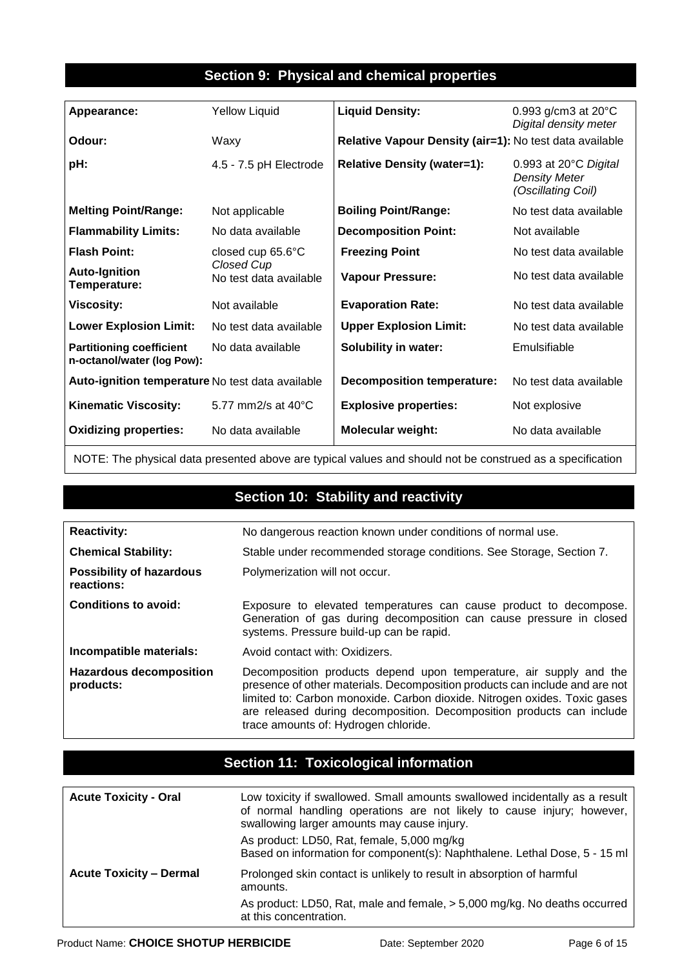### **Section 9: Physical and chemical properties**

| Appearance:                                                   | <b>Yellow Liquid</b>                 | <b>Liquid Density:</b>                                  | 0.993 g/cm3 at $20^{\circ}$ C<br>Digital density meter              |
|---------------------------------------------------------------|--------------------------------------|---------------------------------------------------------|---------------------------------------------------------------------|
| Odour:                                                        | Waxy                                 | Relative Vapour Density (air=1): No test data available |                                                                     |
| pH:                                                           | 4.5 - 7.5 pH Electrode               | <b>Relative Density (water=1):</b>                      | 0.993 at 20°C Digital<br><b>Density Meter</b><br>(Oscillating Coil) |
| <b>Melting Point/Range:</b>                                   | Not applicable                       | <b>Boiling Point/Range:</b>                             | No test data available                                              |
| <b>Flammability Limits:</b>                                   | No data available                    | <b>Decomposition Point:</b>                             | Not available                                                       |
| <b>Flash Point:</b>                                           | closed cup $65.6^{\circ}$ C          | <b>Freezing Point</b>                                   | No test data available                                              |
| <b>Auto-Ignition</b><br>Temperature:                          | Closed Cup<br>No test data available | <b>Vapour Pressure:</b>                                 | No test data available                                              |
| <b>Viscosity:</b>                                             | Not available                        | <b>Evaporation Rate:</b>                                | No test data available                                              |
| <b>Lower Explosion Limit:</b>                                 | No test data available               | <b>Upper Explosion Limit:</b>                           | No test data available                                              |
| <b>Partitioning coefficient</b><br>n-octanol/water (log Pow): | No data available                    | <b>Solubility in water:</b>                             | Emulsifiable                                                        |
| Auto-ignition temperature No test data available              |                                      | <b>Decomposition temperature:</b>                       | No test data available                                              |
| <b>Kinematic Viscosity:</b>                                   | 5.77 mm2/s at $40^{\circ}$ C         | <b>Explosive properties:</b>                            | Not explosive                                                       |
| <b>Oxidizing properties:</b>                                  | No data available                    | <b>Molecular weight:</b>                                | No data available                                                   |

NOTE: The physical data presented above are typical values and should not be construed as a specification

### **Section 10: Stability and reactivity**

| <b>Reactivity:</b>                            | No dangerous reaction known under conditions of normal use.                                                                                                                                                                                                                                                                                     |  |
|-----------------------------------------------|-------------------------------------------------------------------------------------------------------------------------------------------------------------------------------------------------------------------------------------------------------------------------------------------------------------------------------------------------|--|
| <b>Chemical Stability:</b>                    | Stable under recommended storage conditions. See Storage, Section 7.                                                                                                                                                                                                                                                                            |  |
| <b>Possibility of hazardous</b><br>reactions: | Polymerization will not occur.                                                                                                                                                                                                                                                                                                                  |  |
| Conditions to avoid:                          | Exposure to elevated temperatures can cause product to decompose.<br>Generation of gas during decomposition can cause pressure in closed<br>systems. Pressure build-up can be rapid.                                                                                                                                                            |  |
| Incompatible materials:                       | Avoid contact with: Oxidizers.                                                                                                                                                                                                                                                                                                                  |  |
| <b>Hazardous decomposition</b><br>products:   | Decomposition products depend upon temperature, air supply and the<br>presence of other materials. Decomposition products can include and are not<br>limited to: Carbon monoxide. Carbon dioxide. Nitrogen oxides. Toxic gases<br>are released during decomposition. Decomposition products can include<br>trace amounts of: Hydrogen chloride. |  |

### **Section 11: Toxicological information**

| <b>Acute Toxicity - Oral</b>   | Low toxicity if swallowed. Small amounts swallowed incidentally as a result<br>of normal handling operations are not likely to cause injury; however,<br>swallowing larger amounts may cause injury. |
|--------------------------------|------------------------------------------------------------------------------------------------------------------------------------------------------------------------------------------------------|
|                                | As product: LD50, Rat, female, 5,000 mg/kg<br>Based on information for component(s): Naphthalene. Lethal Dose, 5 - 15 ml                                                                             |
| <b>Acute Toxicity - Dermal</b> | Prolonged skin contact is unlikely to result in absorption of harmful<br>amounts.                                                                                                                    |
|                                | As product: LD50, Rat, male and female, > 5,000 mg/kg. No deaths occurred<br>at this concentration.                                                                                                  |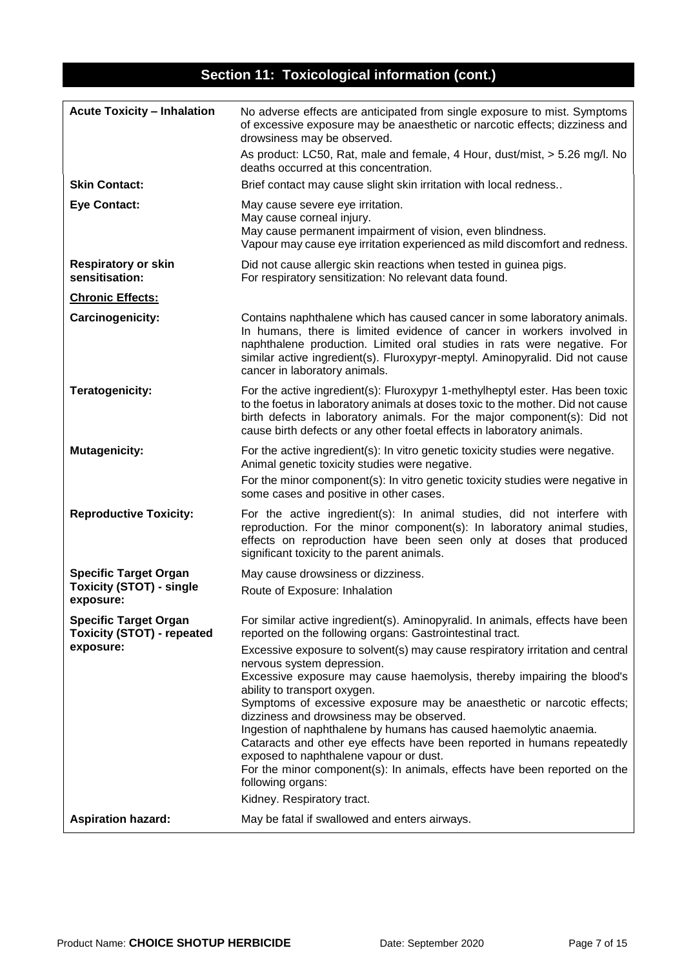# **Section 11: Toxicological information (cont.)**

| <b>Acute Toxicity - Inhalation</b>                                | No adverse effects are anticipated from single exposure to mist. Symptoms<br>of excessive exposure may be anaesthetic or narcotic effects; dizziness and<br>drowsiness may be observed.                                                                                                                                                       |
|-------------------------------------------------------------------|-----------------------------------------------------------------------------------------------------------------------------------------------------------------------------------------------------------------------------------------------------------------------------------------------------------------------------------------------|
|                                                                   | As product: LC50, Rat, male and female, 4 Hour, dust/mist, > 5.26 mg/l. No<br>deaths occurred at this concentration.                                                                                                                                                                                                                          |
| <b>Skin Contact:</b>                                              | Brief contact may cause slight skin irritation with local redness                                                                                                                                                                                                                                                                             |
| <b>Eye Contact:</b>                                               | May cause severe eye irritation.<br>May cause corneal injury.<br>May cause permanent impairment of vision, even blindness.<br>Vapour may cause eye irritation experienced as mild discomfort and redness.                                                                                                                                     |
| <b>Respiratory or skin</b><br>sensitisation:                      | Did not cause allergic skin reactions when tested in guinea pigs.<br>For respiratory sensitization: No relevant data found.                                                                                                                                                                                                                   |
| <b>Chronic Effects:</b>                                           |                                                                                                                                                                                                                                                                                                                                               |
| Carcinogenicity:                                                  | Contains naphthalene which has caused cancer in some laboratory animals.<br>In humans, there is limited evidence of cancer in workers involved in<br>naphthalene production. Limited oral studies in rats were negative. For<br>similar active ingredient(s). Fluroxypyr-meptyl. Aminopyralid. Did not cause<br>cancer in laboratory animals. |
| <b>Teratogenicity:</b>                                            | For the active ingredient(s): Fluroxypyr 1-methylheptyl ester. Has been toxic<br>to the foetus in laboratory animals at doses toxic to the mother. Did not cause<br>birth defects in laboratory animals. For the major component(s): Did not<br>cause birth defects or any other foetal effects in laboratory animals.                        |
| <b>Mutagenicity:</b>                                              | For the active ingredient(s): In vitro genetic toxicity studies were negative.<br>Animal genetic toxicity studies were negative.                                                                                                                                                                                                              |
|                                                                   | For the minor component(s): In vitro genetic toxicity studies were negative in<br>some cases and positive in other cases.                                                                                                                                                                                                                     |
| <b>Reproductive Toxicity:</b>                                     | For the active ingredient(s): In animal studies, did not interfere with<br>reproduction. For the minor component(s): In laboratory animal studies,<br>effects on reproduction have been seen only at doses that produced<br>significant toxicity to the parent animals.                                                                       |
| <b>Specific Target Organ</b>                                      | May cause drowsiness or dizziness.                                                                                                                                                                                                                                                                                                            |
| <b>Toxicity (STOT) - single</b><br>exposure:                      | Route of Exposure: Inhalation                                                                                                                                                                                                                                                                                                                 |
| <b>Specific Target Organ</b><br><b>Toxicity (STOT) - repeated</b> | For similar active ingredient(s). Aminopyralid. In animals, effects have been<br>reported on the following organs: Gastrointestinal tract.                                                                                                                                                                                                    |
| exposure:                                                         | Excessive exposure to solvent(s) may cause respiratory irritation and central<br>nervous system depression.<br>Excessive exposure may cause haemolysis, thereby impairing the blood's                                                                                                                                                         |
|                                                                   | ability to transport oxygen.<br>Symptoms of excessive exposure may be anaesthetic or narcotic effects;<br>dizziness and drowsiness may be observed.                                                                                                                                                                                           |
|                                                                   | Ingestion of naphthalene by humans has caused haemolytic anaemia.<br>Cataracts and other eye effects have been reported in humans repeatedly<br>exposed to naphthalene vapour or dust.<br>For the minor component(s): In animals, effects have been reported on the                                                                           |
|                                                                   | following organs:<br>Kidney. Respiratory tract.                                                                                                                                                                                                                                                                                               |
| <b>Aspiration hazard:</b>                                         | May be fatal if swallowed and enters airways.                                                                                                                                                                                                                                                                                                 |
|                                                                   |                                                                                                                                                                                                                                                                                                                                               |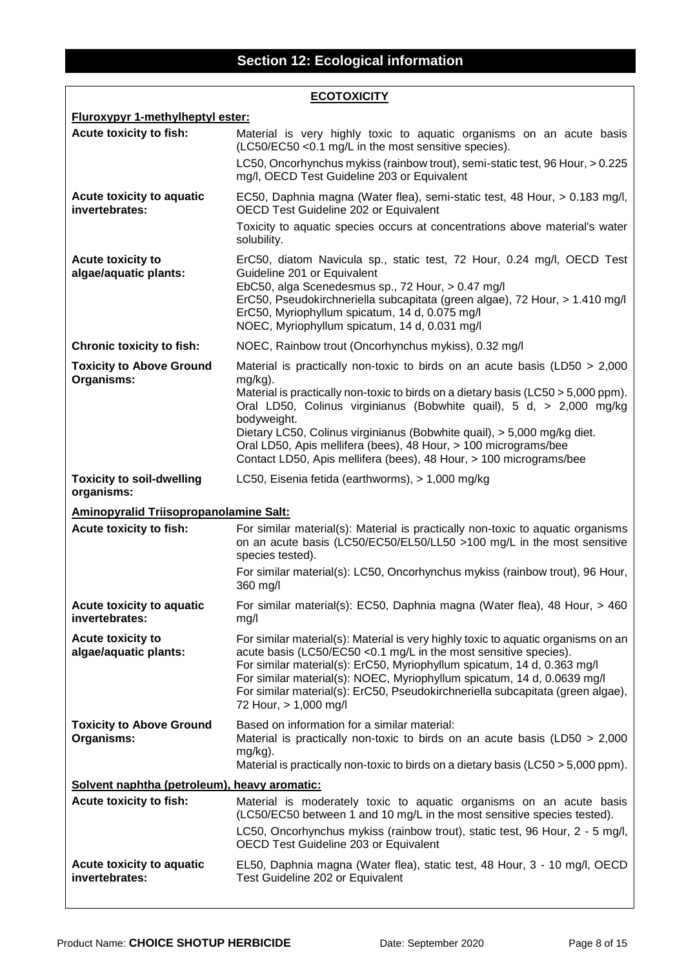| <b>ECOTOXICITY</b>                                |                                                                                                                                                                                                                                                                                                                                                                                                                         |  |
|---------------------------------------------------|-------------------------------------------------------------------------------------------------------------------------------------------------------------------------------------------------------------------------------------------------------------------------------------------------------------------------------------------------------------------------------------------------------------------------|--|
| <b>Fluroxypyr 1-methylheptyl ester:</b>           |                                                                                                                                                                                                                                                                                                                                                                                                                         |  |
| Acute toxicity to fish:                           | Material is very highly toxic to aquatic organisms on an acute basis<br>(LC50/EC50 < 0.1 mg/L in the most sensitive species).<br>LC50, Oncorhynchus mykiss (rainbow trout), semi-static test, 96 Hour, > 0.225<br>mg/l, OECD Test Guideline 203 or Equivalent                                                                                                                                                           |  |
| Acute toxicity to aquatic<br>invertebrates:       | EC50, Daphnia magna (Water flea), semi-static test, 48 Hour, > 0.183 mg/l,<br>OECD Test Guideline 202 or Equivalent                                                                                                                                                                                                                                                                                                     |  |
|                                                   | Toxicity to aquatic species occurs at concentrations above material's water<br>solubility.                                                                                                                                                                                                                                                                                                                              |  |
| <b>Acute toxicity to</b><br>algae/aquatic plants: | ErC50, diatom Navicula sp., static test, 72 Hour, 0.24 mg/l, OECD Test<br>Guideline 201 or Equivalent<br>EbC50, alga Scenedesmus sp., 72 Hour, > 0.47 mg/l<br>ErC50, Pseudokirchneriella subcapitata (green algae), 72 Hour, > 1.410 mg/l<br>ErC50, Myriophyllum spicatum, 14 d, 0.075 mg/l<br>NOEC, Myriophyllum spicatum, 14 d, 0.031 mg/l                                                                            |  |
| <b>Chronic toxicity to fish:</b>                  | NOEC, Rainbow trout (Oncorhynchus mykiss), 0.32 mg/l                                                                                                                                                                                                                                                                                                                                                                    |  |
| <b>Toxicity to Above Ground</b><br>Organisms:     | Material is practically non-toxic to birds on an acute basis (LD50 > 2,000<br>$mg/kg$ ).<br>Material is practically non-toxic to birds on a dietary basis (LC50 > 5,000 ppm).<br>Oral LD50, Colinus virginianus (Bobwhite quail), 5 d, > 2,000 mg/kg<br>bodyweight.<br>Dietary LC50, Colinus virginianus (Bobwhite quail), > 5,000 mg/kg diet.<br>Oral LD50, Apis mellifera (bees), 48 Hour, > 100 micrograms/bee       |  |
|                                                   | Contact LD50, Apis mellifera (bees), 48 Hour, > 100 micrograms/bee                                                                                                                                                                                                                                                                                                                                                      |  |
| <b>Toxicity to soil-dwelling</b><br>organisms:    | LC50, Eisenia fetida (earthworms), > 1,000 mg/kg                                                                                                                                                                                                                                                                                                                                                                        |  |
| <b>Aminopyralid Triisopropanolamine Salt:</b>     |                                                                                                                                                                                                                                                                                                                                                                                                                         |  |
| Acute toxicity to fish:                           | For similar material(s): Material is practically non-toxic to aquatic organisms<br>on an acute basis (LC50/EC50/EL50/LL50 >100 mg/L in the most sensitive<br>species tested).                                                                                                                                                                                                                                           |  |
|                                                   | For similar material(s): LC50, Oncorhynchus mykiss (rainbow trout), 96 Hour,<br>360 mg/l                                                                                                                                                                                                                                                                                                                                |  |
| Acute toxicity to aquatic<br>invertebrates:       | For similar material(s): EC50, Daphnia magna (Water flea), 48 Hour, > 460<br>mg/l                                                                                                                                                                                                                                                                                                                                       |  |
| <b>Acute toxicity to</b><br>algae/aquatic plants: | For similar material(s): Material is very highly toxic to aquatic organisms on an<br>acute basis (LC50/EC50 < 0.1 mg/L in the most sensitive species).<br>For similar material(s): ErC50, Myriophyllum spicatum, 14 d, 0.363 mg/l<br>For similar material(s): NOEC, Myriophyllum spicatum, 14 d, 0.0639 mg/l<br>For similar material(s): ErC50, Pseudokirchneriella subcapitata (green algae),<br>72 Hour, > 1,000 mg/l |  |
| <b>Toxicity to Above Ground</b><br>Organisms:     | Based on information for a similar material:<br>Material is practically non-toxic to birds on an acute basis (LD50 $>$ 2,000<br>$mg/kg$ ).<br>Material is practically non-toxic to birds on a dietary basis (LC50 > 5,000 ppm).                                                                                                                                                                                         |  |
| Solvent naphtha (petroleum), heavy aromatic:      |                                                                                                                                                                                                                                                                                                                                                                                                                         |  |
| Acute toxicity to fish:                           | Material is moderately toxic to aquatic organisms on an acute basis<br>(LC50/EC50 between 1 and 10 mg/L in the most sensitive species tested).<br>LC50, Oncorhynchus mykiss (rainbow trout), static test, 96 Hour, 2 - 5 mg/l,                                                                                                                                                                                          |  |
|                                                   | OECD Test Guideline 203 or Equivalent                                                                                                                                                                                                                                                                                                                                                                                   |  |
| Acute toxicity to aquatic<br>invertebrates:       | EL50, Daphnia magna (Water flea), static test, 48 Hour, 3 - 10 mg/l, OECD<br>Test Guideline 202 or Equivalent                                                                                                                                                                                                                                                                                                           |  |

 $\sqrt{ }$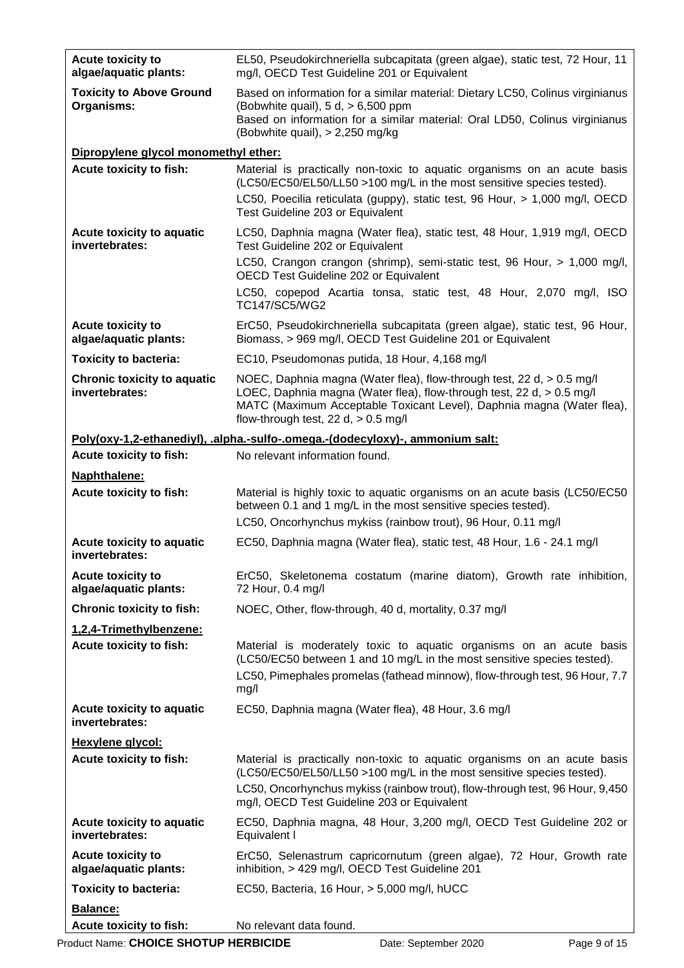| <b>Acute toxicity to</b><br>algae/aquatic plants:    | EL50, Pseudokirchneriella subcapitata (green algae), static test, 72 Hour, 11<br>mg/l, OECD Test Guideline 201 or Equivalent                                                                                                                                     |
|------------------------------------------------------|------------------------------------------------------------------------------------------------------------------------------------------------------------------------------------------------------------------------------------------------------------------|
| <b>Toxicity to Above Ground</b><br>Organisms:        | Based on information for a similar material: Dietary LC50, Colinus virginianus<br>(Bobwhite quail), $5 d$ , $> 6,500$ ppm<br>Based on information for a similar material: Oral LD50, Colinus virginianus<br>(Bobwhite quail), > 2,250 mg/kg                      |
| Dipropylene glycol monomethyl ether:                 |                                                                                                                                                                                                                                                                  |
| Acute toxicity to fish:                              | Material is practically non-toxic to aquatic organisms on an acute basis<br>(LC50/EC50/EL50/LL50 >100 mg/L in the most sensitive species tested).<br>LC50, Poecilia reticulata (guppy), static test, 96 Hour, > 1,000 mg/l, OECD                                 |
| Acute toxicity to aquatic<br>invertebrates:          | Test Guideline 203 or Equivalent<br>LC50, Daphnia magna (Water flea), static test, 48 Hour, 1,919 mg/l, OECD<br>Test Guideline 202 or Equivalent                                                                                                                 |
|                                                      | LC50, Crangon crangon (shrimp), semi-static test, 96 Hour, > 1,000 mg/l,<br>OECD Test Guideline 202 or Equivalent                                                                                                                                                |
|                                                      | LC50, copepod Acartia tonsa, static test, 48 Hour, 2,070 mg/l, ISO<br>TC147/SC5/WG2                                                                                                                                                                              |
| <b>Acute toxicity to</b><br>algae/aquatic plants:    | ErC50, Pseudokirchneriella subcapitata (green algae), static test, 96 Hour,<br>Biomass, > 969 mg/l, OECD Test Guideline 201 or Equivalent                                                                                                                        |
| <b>Toxicity to bacteria:</b>                         | EC10, Pseudomonas putida, 18 Hour, 4,168 mg/l                                                                                                                                                                                                                    |
| <b>Chronic toxicity to aquatic</b><br>invertebrates: | NOEC, Daphnia magna (Water flea), flow-through test, 22 d, > 0.5 mg/l<br>LOEC, Daphnia magna (Water flea), flow-through test, 22 d, > 0.5 mg/l<br>MATC (Maximum Acceptable Toxicant Level), Daphnia magna (Water flea),<br>flow-through test, 22 d, $> 0.5$ mg/l |
|                                                      | Poly(oxy-1,2-ethanediyl), .alpha.-sulfo-.omega.-(dodecyloxy)-, ammonium salt:                                                                                                                                                                                    |
| Acute toxicity to fish:                              | No relevant information found.                                                                                                                                                                                                                                   |
| Naphthalene:<br>Acute toxicity to fish:              | Material is highly toxic to aquatic organisms on an acute basis (LC50/EC50<br>between 0.1 and 1 mg/L in the most sensitive species tested).<br>LC50, Oncorhynchus mykiss (rainbow trout), 96 Hour, 0.11 mg/l                                                     |
| Acute toxicity to aquatic                            | EC50, Daphnia magna (Water flea), static test, 48 Hour, 1.6 - 24.1 mg/l                                                                                                                                                                                          |
| invertebrates:                                       |                                                                                                                                                                                                                                                                  |
| <b>Acute toxicity to</b><br>algae/aquatic plants:    | ErC50, Skeletonema costatum (marine diatom), Growth rate inhibition,<br>72 Hour, 0.4 mg/l                                                                                                                                                                        |
| <b>Chronic toxicity to fish:</b>                     | NOEC, Other, flow-through, 40 d, mortality, 0.37 mg/l                                                                                                                                                                                                            |
| 1,2,4-Trimethylbenzene:                              |                                                                                                                                                                                                                                                                  |
| Acute toxicity to fish:                              | Material is moderately toxic to aquatic organisms on an acute basis<br>(LC50/EC50 between 1 and 10 mg/L in the most sensitive species tested).                                                                                                                   |
|                                                      | LC50, Pimephales promelas (fathead minnow), flow-through test, 96 Hour, 7.7<br>mg/l                                                                                                                                                                              |
| Acute toxicity to aquatic<br>invertebrates:          | EC50, Daphnia magna (Water flea), 48 Hour, 3.6 mg/l                                                                                                                                                                                                              |
| Hexylene glycol:                                     |                                                                                                                                                                                                                                                                  |
| Acute toxicity to fish:                              | Material is practically non-toxic to aquatic organisms on an acute basis<br>(LC50/EC50/EL50/LL50 >100 mg/L in the most sensitive species tested).                                                                                                                |
|                                                      | LC50, Oncorhynchus mykiss (rainbow trout), flow-through test, 96 Hour, 9,450<br>mg/l, OECD Test Guideline 203 or Equivalent                                                                                                                                      |
| Acute toxicity to aquatic<br>invertebrates:          | EC50, Daphnia magna, 48 Hour, 3,200 mg/l, OECD Test Guideline 202 or<br>Equivalent I                                                                                                                                                                             |
| <b>Acute toxicity to</b><br>algae/aquatic plants:    | ErC50, Selenastrum capricornutum (green algae), 72 Hour, Growth rate<br>inhibition, > 429 mg/l, OECD Test Guideline 201                                                                                                                                          |
| <b>Toxicity to bacteria:</b>                         | EC50, Bacteria, 16 Hour, > 5,000 mg/l, hUCC                                                                                                                                                                                                                      |
| Balance:                                             |                                                                                                                                                                                                                                                                  |
| Acute toxicity to fish:                              | No relevant data found.                                                                                                                                                                                                                                          |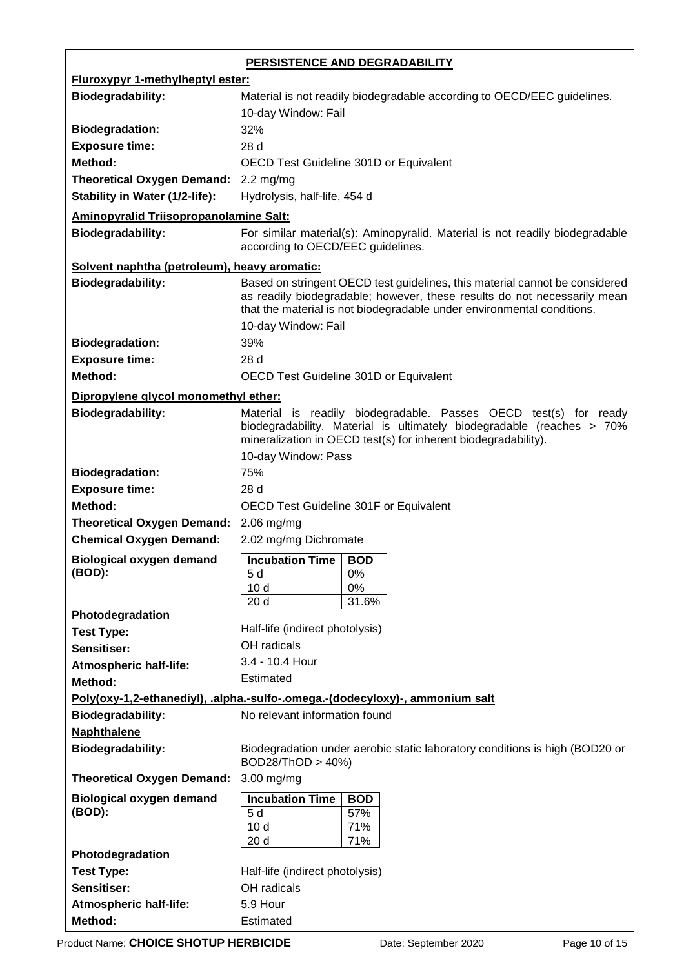| PERSISTENCE AND DEGRADABILITY                 |                                                                                                                                                         |  |  |
|-----------------------------------------------|---------------------------------------------------------------------------------------------------------------------------------------------------------|--|--|
| <b>Fluroxypyr 1-methylheptyl ester:</b>       |                                                                                                                                                         |  |  |
| <b>Biodegradability:</b>                      | Material is not readily biodegradable according to OECD/EEC guidelines.                                                                                 |  |  |
|                                               | 10-day Window: Fail                                                                                                                                     |  |  |
| <b>Biodegradation:</b>                        | 32%                                                                                                                                                     |  |  |
| <b>Exposure time:</b>                         | 28 d                                                                                                                                                    |  |  |
| Method:                                       | OECD Test Guideline 301D or Equivalent                                                                                                                  |  |  |
| <b>Theoretical Oxygen Demand:</b>             | $2.2 \text{ mg/mg}$                                                                                                                                     |  |  |
| <b>Stability in Water (1/2-life):</b>         | Hydrolysis, half-life, 454 d                                                                                                                            |  |  |
|                                               |                                                                                                                                                         |  |  |
| <b>Aminopyralid Triisopropanolamine Salt:</b> |                                                                                                                                                         |  |  |
| <b>Biodegradability:</b>                      | For similar material(s): Aminopyralid. Material is not readily biodegradable<br>according to OECD/EEC guidelines.                                       |  |  |
|                                               |                                                                                                                                                         |  |  |
| Solvent naphtha (petroleum), heavy aromatic:  |                                                                                                                                                         |  |  |
| <b>Biodegradability:</b>                      | Based on stringent OECD test guidelines, this material cannot be considered<br>as readily biodegradable; however, these results do not necessarily mean |  |  |
|                                               | that the material is not biodegradable under environmental conditions.                                                                                  |  |  |
|                                               | 10-day Window: Fail                                                                                                                                     |  |  |
| <b>Biodegradation:</b>                        | 39%                                                                                                                                                     |  |  |
| <b>Exposure time:</b>                         | 28d                                                                                                                                                     |  |  |
| Method:                                       | OECD Test Guideline 301D or Equivalent                                                                                                                  |  |  |
|                                               |                                                                                                                                                         |  |  |
| Dipropylene glycol monomethyl ether:          |                                                                                                                                                         |  |  |
| <b>Biodegradability:</b>                      | Material is readily biodegradable. Passes OECD test(s) for ready<br>biodegradability. Material is ultimately biodegradable (reaches > 70%               |  |  |
|                                               | mineralization in OECD test(s) for inherent biodegradability).                                                                                          |  |  |
|                                               | 10-day Window: Pass                                                                                                                                     |  |  |
| <b>Biodegradation:</b>                        | 75%                                                                                                                                                     |  |  |
| <b>Exposure time:</b>                         | 28 d                                                                                                                                                    |  |  |
| Method:                                       | OECD Test Guideline 301F or Equivalent                                                                                                                  |  |  |
| <b>Theoretical Oxygen Demand:</b>             | $2.06$ mg/mg                                                                                                                                            |  |  |
| <b>Chemical Oxygen Demand:</b>                | 2.02 mg/mg Dichromate                                                                                                                                   |  |  |
|                                               |                                                                                                                                                         |  |  |
| <b>Biological oxygen demand</b><br>(BOD):     | <b>Incubation Time</b><br><b>BOD</b>                                                                                                                    |  |  |
|                                               | 5 d<br>0%<br>0%<br>10 <sub>d</sub>                                                                                                                      |  |  |
|                                               | 20 <sub>d</sub><br>31.6%                                                                                                                                |  |  |
| Photodegradation                              |                                                                                                                                                         |  |  |
| <b>Test Type:</b>                             | Half-life (indirect photolysis)                                                                                                                         |  |  |
| Sensitiser:                                   | OH radicals                                                                                                                                             |  |  |
| <b>Atmospheric half-life:</b>                 | 3.4 - 10.4 Hour                                                                                                                                         |  |  |
| Method:                                       | <b>Estimated</b>                                                                                                                                        |  |  |
|                                               | Poly(oxy-1,2-ethanediyl), .alpha.-sulfo-.omega.-(dodecyloxy)-, ammonium salt                                                                            |  |  |
| <b>Biodegradability:</b>                      | No relevant information found                                                                                                                           |  |  |
| <b>Naphthalene</b>                            |                                                                                                                                                         |  |  |
| <b>Biodegradability:</b>                      | Biodegradation under aerobic static laboratory conditions is high (BOD20 or                                                                             |  |  |
|                                               | BOD28/ThOD > 40%)                                                                                                                                       |  |  |
| <b>Theoretical Oxygen Demand:</b>             | $3.00$ mg/mg                                                                                                                                            |  |  |
| <b>Biological oxygen demand</b>               | <b>Incubation Time</b><br><b>BOD</b>                                                                                                                    |  |  |
| (BOD):                                        | 57%<br>5 d                                                                                                                                              |  |  |
|                                               | 71%<br>10 <sub>d</sub>                                                                                                                                  |  |  |
|                                               | 71%<br>20 d                                                                                                                                             |  |  |
| Photodegradation                              |                                                                                                                                                         |  |  |
| <b>Test Type:</b>                             | Half-life (indirect photolysis)                                                                                                                         |  |  |
| Sensitiser:                                   | OH radicals                                                                                                                                             |  |  |
| <b>Atmospheric half-life:</b>                 | 5.9 Hour                                                                                                                                                |  |  |
| Method:                                       | Estimated                                                                                                                                               |  |  |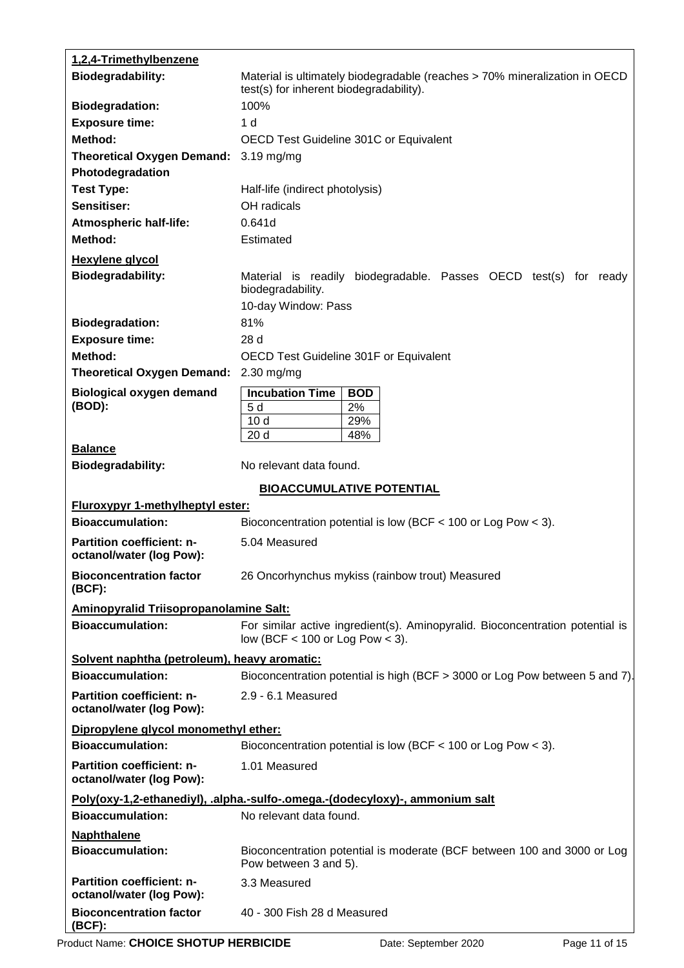| 1,2,4-Trimethylbenzene                                       |                                                                                                                       |  |
|--------------------------------------------------------------|-----------------------------------------------------------------------------------------------------------------------|--|
| <b>Biodegradability:</b>                                     | Material is ultimately biodegradable (reaches > 70% mineralization in OECD<br>test(s) for inherent biodegradability). |  |
| <b>Biodegradation:</b>                                       | 100%                                                                                                                  |  |
| <b>Exposure time:</b>                                        | 1 <sub>d</sub>                                                                                                        |  |
| Method:                                                      | OECD Test Guideline 301C or Equivalent                                                                                |  |
| <b>Theoretical Oxygen Demand:</b>                            | $3.19$ mg/mg                                                                                                          |  |
| Photodegradation                                             |                                                                                                                       |  |
| <b>Test Type:</b>                                            | Half-life (indirect photolysis)                                                                                       |  |
| Sensitiser:                                                  | OH radicals                                                                                                           |  |
| <b>Atmospheric half-life:</b>                                | 0.641d                                                                                                                |  |
| Method:                                                      | Estimated                                                                                                             |  |
| <b>Hexylene glycol</b>                                       |                                                                                                                       |  |
| <b>Biodegradability:</b>                                     | Material is readily biodegradable. Passes OECD test(s) for ready<br>biodegradability.                                 |  |
|                                                              | 10-day Window: Pass                                                                                                   |  |
| <b>Biodegradation:</b>                                       | 81%                                                                                                                   |  |
| <b>Exposure time:</b>                                        | 28 d                                                                                                                  |  |
| Method:                                                      | OECD Test Guideline 301F or Equivalent                                                                                |  |
| <b>Theoretical Oxygen Demand:</b>                            | $2.30$ mg/mg                                                                                                          |  |
| <b>Biological oxygen demand</b><br>(BOD):                    | <b>Incubation Time</b><br><b>BOD</b><br>5d<br>2%<br>10 <sub>d</sub><br>29%                                            |  |
|                                                              | 20 <sub>d</sub><br>48%                                                                                                |  |
| <b>Balance</b>                                               |                                                                                                                       |  |
| <b>Biodegradability:</b>                                     | No relevant data found.                                                                                               |  |
|                                                              | <b>BIOACCUMULATIVE POTENTIAL</b>                                                                                      |  |
| <b>Fluroxypyr 1-methylheptyl ester:</b>                      |                                                                                                                       |  |
| <b>Bioaccumulation:</b>                                      | Bioconcentration potential is low (BCF $<$ 100 or Log Pow $<$ 3).                                                     |  |
| <b>Partition coefficient: n-</b><br>octanol/water (log Pow): | 5.04 Measured                                                                                                         |  |
| <b>Bioconcentration factor</b><br>$(BCF)$ :                  | 26 Oncorhynchus mykiss (rainbow trout) Measured                                                                       |  |
| <b>Aminopyralid Triisopropanolamine Salt:</b>                |                                                                                                                       |  |
| <b>Bioaccumulation:</b>                                      | For similar active ingredient(s). Aminopyralid. Bioconcentration potential is<br>low (BCF $<$ 100 or Log Pow $<$ 3).  |  |
| Solvent naphtha (petroleum), heavy aromatic:                 |                                                                                                                       |  |
| <b>Bioaccumulation:</b>                                      | Bioconcentration potential is high (BCF > 3000 or Log Pow between 5 and 7).                                           |  |
| <b>Partition coefficient: n-</b><br>octanol/water (log Pow): | 2.9 - 6.1 Measured                                                                                                    |  |
| Dipropylene glycol monomethyl ether:                         |                                                                                                                       |  |
| <b>Bioaccumulation:</b>                                      | Bioconcentration potential is low (BCF < 100 or Log Pow < 3).                                                         |  |
| <b>Partition coefficient: n-</b><br>octanol/water (log Pow): | 1.01 Measured                                                                                                         |  |
|                                                              | Poly(oxy-1,2-ethanediyl), .alpha.-sulfo-.omega.-(dodecyloxy)-, ammonium salt                                          |  |
| <b>Bioaccumulation:</b>                                      | No relevant data found.                                                                                               |  |
| <b>Naphthalene</b><br><b>Bioaccumulation:</b>                | Bioconcentration potential is moderate (BCF between 100 and 3000 or Log<br>Pow between 3 and 5).                      |  |
| <b>Partition coefficient: n-</b><br>octanol/water (log Pow): | 3.3 Measured                                                                                                          |  |
| <b>Bioconcentration factor</b><br>$(BCF)$ :                  | 40 - 300 Fish 28 d Measured                                                                                           |  |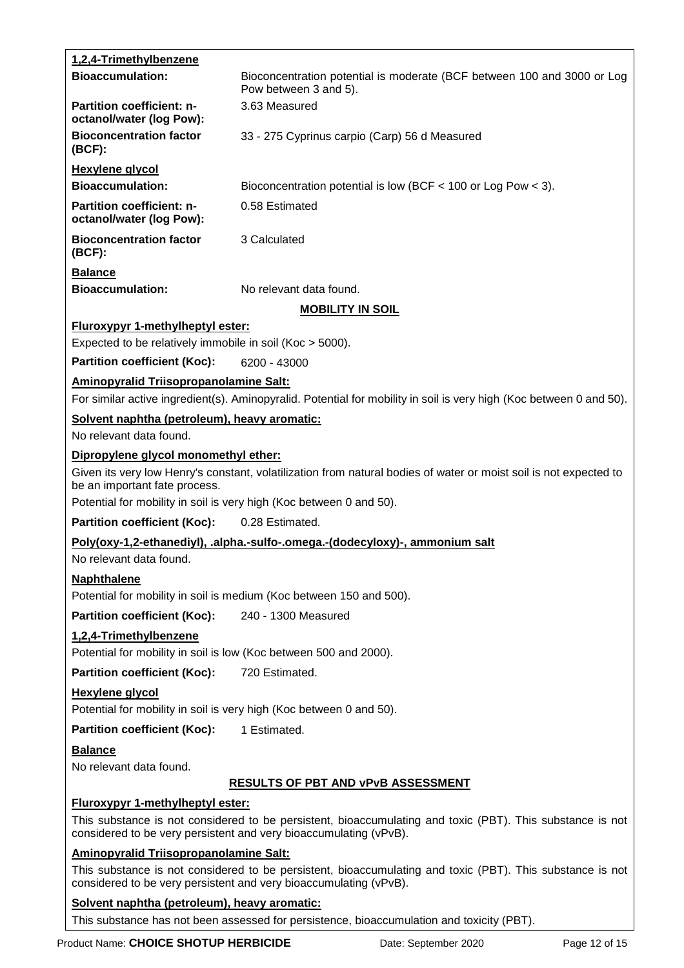| <b>Bioaccumulation:</b><br>Bioconcentration potential is moderate (BCF between 100 and 3000 or Log<br>Pow between 3 and 5).<br>3.63 Measured<br><b>Partition coefficient: n-</b><br>octanol/water (log Pow):<br><b>Bioconcentration factor</b><br>33 - 275 Cyprinus carpio (Carp) 56 d Measured<br>$(BCF)$ :<br><b>Hexylene glycol</b><br><b>Bioaccumulation:</b><br>Bioconcentration potential is low (BCF $<$ 100 or Log Pow $<$ 3).<br><b>Partition coefficient: n-</b><br>0.58 Estimated<br>octanol/water (log Pow):<br><b>Bioconcentration factor</b><br>3 Calculated<br>$(BCF)$ :<br><b>Balance</b><br><b>Bioaccumulation:</b><br>No relevant data found.<br><b>MOBILITY IN SOIL</b><br>Fluroxypyr 1-methylheptyl ester:<br>Expected to be relatively immobile in soil (Koc > 5000).<br><b>Partition coefficient (Koc):</b><br>6200 - 43000<br>Aminopyralid Triisopropanolamine Salt:<br>For similar active ingredient(s). Aminopyralid. Potential for mobility in soil is very high (Koc between 0 and 50).<br>Solvent naphtha (petroleum), heavy aromatic:<br>No relevant data found.<br>Dipropylene glycol monomethyl ether:<br>Given its very low Henry's constant, volatilization from natural bodies of water or moist soil is not expected to<br>be an important fate process.<br>Potential for mobility in soil is very high (Koc between 0 and 50).<br><b>Partition coefficient (Koc):</b><br>0.28 Estimated.<br>Poly(oxy-1,2-ethanediyl), .alpha.-sulfo-.omega.-(dodecyloxy)-, ammonium salt<br>No relevant data found.<br><b>Naphthalene</b><br>Potential for mobility in soil is medium (Koc between 150 and 500).<br><b>Partition coefficient (Koc):</b><br>240 - 1300 Measured<br>1,2,4-Trimethylbenzene<br>Potential for mobility in soil is low (Koc between 500 and 2000).<br><b>Partition coefficient (Koc):</b><br>720 Estimated.<br><b>Hexylene glycol</b><br>Potential for mobility in soil is very high (Koc between 0 and 50).<br><b>Partition coefficient (Koc):</b><br>1 Estimated.<br><b>Balance</b><br>No relevant data found.<br><b>RESULTS OF PBT AND VPVB ASSESSMENT</b><br><b>Fluroxypyr 1-methylheptyl ester:</b><br>This substance is not considered to be persistent, bioaccumulating and toxic (PBT). This substance is not<br>considered to be very persistent and very bioaccumulating (vPvB).<br><b>Aminopyralid Triisopropanolamine Salt:</b><br>This substance is not considered to be persistent, bioaccumulating and toxic (PBT). This substance is not<br>considered to be very persistent and very bioaccumulating (vPvB).<br>Solvent naphtha (petroleum), heavy aromatic:<br>This substance has not been assessed for persistence, bioaccumulation and toxicity (PBT). | 1,2,4-Trimethylbenzene |  |
|---------------------------------------------------------------------------------------------------------------------------------------------------------------------------------------------------------------------------------------------------------------------------------------------------------------------------------------------------------------------------------------------------------------------------------------------------------------------------------------------------------------------------------------------------------------------------------------------------------------------------------------------------------------------------------------------------------------------------------------------------------------------------------------------------------------------------------------------------------------------------------------------------------------------------------------------------------------------------------------------------------------------------------------------------------------------------------------------------------------------------------------------------------------------------------------------------------------------------------------------------------------------------------------------------------------------------------------------------------------------------------------------------------------------------------------------------------------------------------------------------------------------------------------------------------------------------------------------------------------------------------------------------------------------------------------------------------------------------------------------------------------------------------------------------------------------------------------------------------------------------------------------------------------------------------------------------------------------------------------------------------------------------------------------------------------------------------------------------------------------------------------------------------------------------------------------------------------------------------------------------------------------------------------------------------------------------------------------------------------------------------------------------------------------------------------------------------------------------------------------------------------------------------------------------------------------------------------------------------------------------------------------------------------------------------------------------------------------------|------------------------|--|
|                                                                                                                                                                                                                                                                                                                                                                                                                                                                                                                                                                                                                                                                                                                                                                                                                                                                                                                                                                                                                                                                                                                                                                                                                                                                                                                                                                                                                                                                                                                                                                                                                                                                                                                                                                                                                                                                                                                                                                                                                                                                                                                                                                                                                                                                                                                                                                                                                                                                                                                                                                                                                                                                                                                           |                        |  |
|                                                                                                                                                                                                                                                                                                                                                                                                                                                                                                                                                                                                                                                                                                                                                                                                                                                                                                                                                                                                                                                                                                                                                                                                                                                                                                                                                                                                                                                                                                                                                                                                                                                                                                                                                                                                                                                                                                                                                                                                                                                                                                                                                                                                                                                                                                                                                                                                                                                                                                                                                                                                                                                                                                                           |                        |  |
|                                                                                                                                                                                                                                                                                                                                                                                                                                                                                                                                                                                                                                                                                                                                                                                                                                                                                                                                                                                                                                                                                                                                                                                                                                                                                                                                                                                                                                                                                                                                                                                                                                                                                                                                                                                                                                                                                                                                                                                                                                                                                                                                                                                                                                                                                                                                                                                                                                                                                                                                                                                                                                                                                                                           |                        |  |
|                                                                                                                                                                                                                                                                                                                                                                                                                                                                                                                                                                                                                                                                                                                                                                                                                                                                                                                                                                                                                                                                                                                                                                                                                                                                                                                                                                                                                                                                                                                                                                                                                                                                                                                                                                                                                                                                                                                                                                                                                                                                                                                                                                                                                                                                                                                                                                                                                                                                                                                                                                                                                                                                                                                           |                        |  |
|                                                                                                                                                                                                                                                                                                                                                                                                                                                                                                                                                                                                                                                                                                                                                                                                                                                                                                                                                                                                                                                                                                                                                                                                                                                                                                                                                                                                                                                                                                                                                                                                                                                                                                                                                                                                                                                                                                                                                                                                                                                                                                                                                                                                                                                                                                                                                                                                                                                                                                                                                                                                                                                                                                                           |                        |  |
|                                                                                                                                                                                                                                                                                                                                                                                                                                                                                                                                                                                                                                                                                                                                                                                                                                                                                                                                                                                                                                                                                                                                                                                                                                                                                                                                                                                                                                                                                                                                                                                                                                                                                                                                                                                                                                                                                                                                                                                                                                                                                                                                                                                                                                                                                                                                                                                                                                                                                                                                                                                                                                                                                                                           |                        |  |
|                                                                                                                                                                                                                                                                                                                                                                                                                                                                                                                                                                                                                                                                                                                                                                                                                                                                                                                                                                                                                                                                                                                                                                                                                                                                                                                                                                                                                                                                                                                                                                                                                                                                                                                                                                                                                                                                                                                                                                                                                                                                                                                                                                                                                                                                                                                                                                                                                                                                                                                                                                                                                                                                                                                           |                        |  |
|                                                                                                                                                                                                                                                                                                                                                                                                                                                                                                                                                                                                                                                                                                                                                                                                                                                                                                                                                                                                                                                                                                                                                                                                                                                                                                                                                                                                                                                                                                                                                                                                                                                                                                                                                                                                                                                                                                                                                                                                                                                                                                                                                                                                                                                                                                                                                                                                                                                                                                                                                                                                                                                                                                                           |                        |  |
|                                                                                                                                                                                                                                                                                                                                                                                                                                                                                                                                                                                                                                                                                                                                                                                                                                                                                                                                                                                                                                                                                                                                                                                                                                                                                                                                                                                                                                                                                                                                                                                                                                                                                                                                                                                                                                                                                                                                                                                                                                                                                                                                                                                                                                                                                                                                                                                                                                                                                                                                                                                                                                                                                                                           |                        |  |
|                                                                                                                                                                                                                                                                                                                                                                                                                                                                                                                                                                                                                                                                                                                                                                                                                                                                                                                                                                                                                                                                                                                                                                                                                                                                                                                                                                                                                                                                                                                                                                                                                                                                                                                                                                                                                                                                                                                                                                                                                                                                                                                                                                                                                                                                                                                                                                                                                                                                                                                                                                                                                                                                                                                           |                        |  |
|                                                                                                                                                                                                                                                                                                                                                                                                                                                                                                                                                                                                                                                                                                                                                                                                                                                                                                                                                                                                                                                                                                                                                                                                                                                                                                                                                                                                                                                                                                                                                                                                                                                                                                                                                                                                                                                                                                                                                                                                                                                                                                                                                                                                                                                                                                                                                                                                                                                                                                                                                                                                                                                                                                                           |                        |  |
|                                                                                                                                                                                                                                                                                                                                                                                                                                                                                                                                                                                                                                                                                                                                                                                                                                                                                                                                                                                                                                                                                                                                                                                                                                                                                                                                                                                                                                                                                                                                                                                                                                                                                                                                                                                                                                                                                                                                                                                                                                                                                                                                                                                                                                                                                                                                                                                                                                                                                                                                                                                                                                                                                                                           |                        |  |
|                                                                                                                                                                                                                                                                                                                                                                                                                                                                                                                                                                                                                                                                                                                                                                                                                                                                                                                                                                                                                                                                                                                                                                                                                                                                                                                                                                                                                                                                                                                                                                                                                                                                                                                                                                                                                                                                                                                                                                                                                                                                                                                                                                                                                                                                                                                                                                                                                                                                                                                                                                                                                                                                                                                           |                        |  |
|                                                                                                                                                                                                                                                                                                                                                                                                                                                                                                                                                                                                                                                                                                                                                                                                                                                                                                                                                                                                                                                                                                                                                                                                                                                                                                                                                                                                                                                                                                                                                                                                                                                                                                                                                                                                                                                                                                                                                                                                                                                                                                                                                                                                                                                                                                                                                                                                                                                                                                                                                                                                                                                                                                                           |                        |  |
|                                                                                                                                                                                                                                                                                                                                                                                                                                                                                                                                                                                                                                                                                                                                                                                                                                                                                                                                                                                                                                                                                                                                                                                                                                                                                                                                                                                                                                                                                                                                                                                                                                                                                                                                                                                                                                                                                                                                                                                                                                                                                                                                                                                                                                                                                                                                                                                                                                                                                                                                                                                                                                                                                                                           |                        |  |
|                                                                                                                                                                                                                                                                                                                                                                                                                                                                                                                                                                                                                                                                                                                                                                                                                                                                                                                                                                                                                                                                                                                                                                                                                                                                                                                                                                                                                                                                                                                                                                                                                                                                                                                                                                                                                                                                                                                                                                                                                                                                                                                                                                                                                                                                                                                                                                                                                                                                                                                                                                                                                                                                                                                           |                        |  |
|                                                                                                                                                                                                                                                                                                                                                                                                                                                                                                                                                                                                                                                                                                                                                                                                                                                                                                                                                                                                                                                                                                                                                                                                                                                                                                                                                                                                                                                                                                                                                                                                                                                                                                                                                                                                                                                                                                                                                                                                                                                                                                                                                                                                                                                                                                                                                                                                                                                                                                                                                                                                                                                                                                                           |                        |  |
|                                                                                                                                                                                                                                                                                                                                                                                                                                                                                                                                                                                                                                                                                                                                                                                                                                                                                                                                                                                                                                                                                                                                                                                                                                                                                                                                                                                                                                                                                                                                                                                                                                                                                                                                                                                                                                                                                                                                                                                                                                                                                                                                                                                                                                                                                                                                                                                                                                                                                                                                                                                                                                                                                                                           |                        |  |
|                                                                                                                                                                                                                                                                                                                                                                                                                                                                                                                                                                                                                                                                                                                                                                                                                                                                                                                                                                                                                                                                                                                                                                                                                                                                                                                                                                                                                                                                                                                                                                                                                                                                                                                                                                                                                                                                                                                                                                                                                                                                                                                                                                                                                                                                                                                                                                                                                                                                                                                                                                                                                                                                                                                           |                        |  |
|                                                                                                                                                                                                                                                                                                                                                                                                                                                                                                                                                                                                                                                                                                                                                                                                                                                                                                                                                                                                                                                                                                                                                                                                                                                                                                                                                                                                                                                                                                                                                                                                                                                                                                                                                                                                                                                                                                                                                                                                                                                                                                                                                                                                                                                                                                                                                                                                                                                                                                                                                                                                                                                                                                                           |                        |  |
|                                                                                                                                                                                                                                                                                                                                                                                                                                                                                                                                                                                                                                                                                                                                                                                                                                                                                                                                                                                                                                                                                                                                                                                                                                                                                                                                                                                                                                                                                                                                                                                                                                                                                                                                                                                                                                                                                                                                                                                                                                                                                                                                                                                                                                                                                                                                                                                                                                                                                                                                                                                                                                                                                                                           |                        |  |
|                                                                                                                                                                                                                                                                                                                                                                                                                                                                                                                                                                                                                                                                                                                                                                                                                                                                                                                                                                                                                                                                                                                                                                                                                                                                                                                                                                                                                                                                                                                                                                                                                                                                                                                                                                                                                                                                                                                                                                                                                                                                                                                                                                                                                                                                                                                                                                                                                                                                                                                                                                                                                                                                                                                           |                        |  |
|                                                                                                                                                                                                                                                                                                                                                                                                                                                                                                                                                                                                                                                                                                                                                                                                                                                                                                                                                                                                                                                                                                                                                                                                                                                                                                                                                                                                                                                                                                                                                                                                                                                                                                                                                                                                                                                                                                                                                                                                                                                                                                                                                                                                                                                                                                                                                                                                                                                                                                                                                                                                                                                                                                                           |                        |  |
|                                                                                                                                                                                                                                                                                                                                                                                                                                                                                                                                                                                                                                                                                                                                                                                                                                                                                                                                                                                                                                                                                                                                                                                                                                                                                                                                                                                                                                                                                                                                                                                                                                                                                                                                                                                                                                                                                                                                                                                                                                                                                                                                                                                                                                                                                                                                                                                                                                                                                                                                                                                                                                                                                                                           |                        |  |
|                                                                                                                                                                                                                                                                                                                                                                                                                                                                                                                                                                                                                                                                                                                                                                                                                                                                                                                                                                                                                                                                                                                                                                                                                                                                                                                                                                                                                                                                                                                                                                                                                                                                                                                                                                                                                                                                                                                                                                                                                                                                                                                                                                                                                                                                                                                                                                                                                                                                                                                                                                                                                                                                                                                           |                        |  |
|                                                                                                                                                                                                                                                                                                                                                                                                                                                                                                                                                                                                                                                                                                                                                                                                                                                                                                                                                                                                                                                                                                                                                                                                                                                                                                                                                                                                                                                                                                                                                                                                                                                                                                                                                                                                                                                                                                                                                                                                                                                                                                                                                                                                                                                                                                                                                                                                                                                                                                                                                                                                                                                                                                                           |                        |  |
|                                                                                                                                                                                                                                                                                                                                                                                                                                                                                                                                                                                                                                                                                                                                                                                                                                                                                                                                                                                                                                                                                                                                                                                                                                                                                                                                                                                                                                                                                                                                                                                                                                                                                                                                                                                                                                                                                                                                                                                                                                                                                                                                                                                                                                                                                                                                                                                                                                                                                                                                                                                                                                                                                                                           |                        |  |
|                                                                                                                                                                                                                                                                                                                                                                                                                                                                                                                                                                                                                                                                                                                                                                                                                                                                                                                                                                                                                                                                                                                                                                                                                                                                                                                                                                                                                                                                                                                                                                                                                                                                                                                                                                                                                                                                                                                                                                                                                                                                                                                                                                                                                                                                                                                                                                                                                                                                                                                                                                                                                                                                                                                           |                        |  |
|                                                                                                                                                                                                                                                                                                                                                                                                                                                                                                                                                                                                                                                                                                                                                                                                                                                                                                                                                                                                                                                                                                                                                                                                                                                                                                                                                                                                                                                                                                                                                                                                                                                                                                                                                                                                                                                                                                                                                                                                                                                                                                                                                                                                                                                                                                                                                                                                                                                                                                                                                                                                                                                                                                                           |                        |  |
|                                                                                                                                                                                                                                                                                                                                                                                                                                                                                                                                                                                                                                                                                                                                                                                                                                                                                                                                                                                                                                                                                                                                                                                                                                                                                                                                                                                                                                                                                                                                                                                                                                                                                                                                                                                                                                                                                                                                                                                                                                                                                                                                                                                                                                                                                                                                                                                                                                                                                                                                                                                                                                                                                                                           |                        |  |
|                                                                                                                                                                                                                                                                                                                                                                                                                                                                                                                                                                                                                                                                                                                                                                                                                                                                                                                                                                                                                                                                                                                                                                                                                                                                                                                                                                                                                                                                                                                                                                                                                                                                                                                                                                                                                                                                                                                                                                                                                                                                                                                                                                                                                                                                                                                                                                                                                                                                                                                                                                                                                                                                                                                           |                        |  |

Product Name: CHOICE SHOTUP HERBICIDE **Date:** September 2020 Page 12 of 15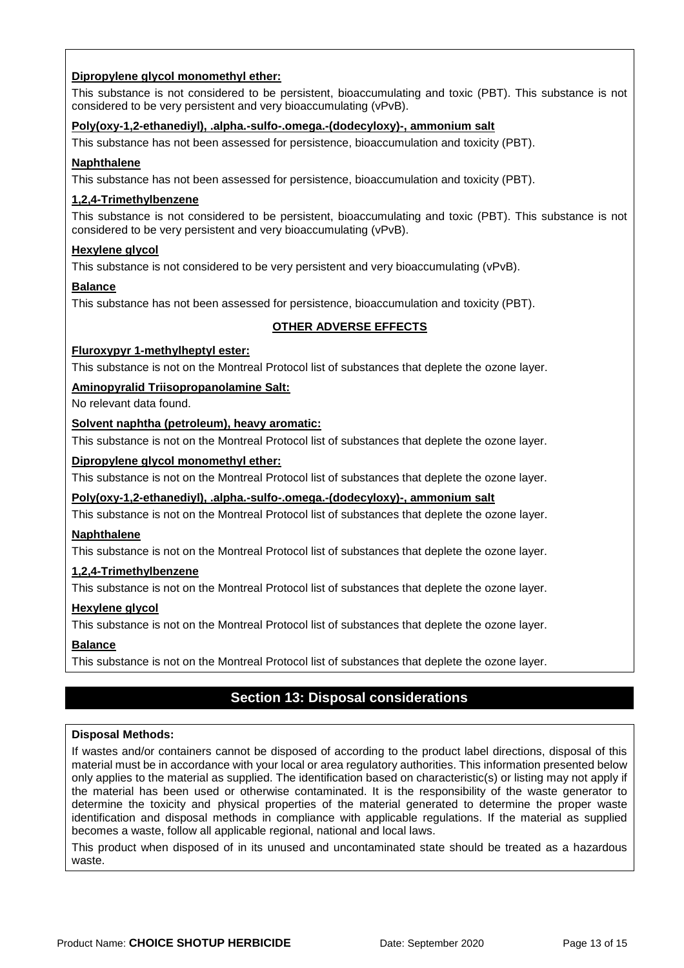#### **Dipropylene glycol monomethyl ether:**

This substance is not considered to be persistent, bioaccumulating and toxic (PBT). This substance is not considered to be very persistent and very bioaccumulating (vPvB).

#### **Poly(oxy-1,2-ethanediyl), .alpha.-sulfo-.omega.-(dodecyloxy)-, ammonium salt**

This substance has not been assessed for persistence, bioaccumulation and toxicity (PBT).

#### **Naphthalene**

This substance has not been assessed for persistence, bioaccumulation and toxicity (PBT).

#### **1,2,4-Trimethylbenzene**

This substance is not considered to be persistent, bioaccumulating and toxic (PBT). This substance is not considered to be very persistent and very bioaccumulating (vPvB).

#### **Hexylene glycol**

This substance is not considered to be very persistent and very bioaccumulating (vPvB).

#### **Balance**

This substance has not been assessed for persistence, bioaccumulation and toxicity (PBT).

#### **OTHER ADVERSE EFFECTS**

#### **Fluroxypyr 1-methylheptyl ester:**

This substance is not on the Montreal Protocol list of substances that deplete the ozone layer.

#### **Aminopyralid Triisopropanolamine Salt:**

No relevant data found.

#### **Solvent naphtha (petroleum), heavy aromatic:**

This substance is not on the Montreal Protocol list of substances that deplete the ozone layer.

#### **Dipropylene glycol monomethyl ether:**

This substance is not on the Montreal Protocol list of substances that deplete the ozone layer.

**Poly(oxy-1,2-ethanediyl), .alpha.-sulfo-.omega.-(dodecyloxy)-, ammonium salt**

This substance is not on the Montreal Protocol list of substances that deplete the ozone layer.

#### **Naphthalene**

This substance is not on the Montreal Protocol list of substances that deplete the ozone layer.

#### **1,2,4-Trimethylbenzene**

This substance is not on the Montreal Protocol list of substances that deplete the ozone layer.

#### **Hexylene glycol**

This substance is not on the Montreal Protocol list of substances that deplete the ozone layer.

#### **Balance**

This substance is not on the Montreal Protocol list of substances that deplete the ozone layer.

### **Section 13: Disposal considerations**

#### **Disposal Methods:**

If wastes and/or containers cannot be disposed of according to the product label directions, disposal of this material must be in accordance with your local or area regulatory authorities. This information presented below only applies to the material as supplied. The identification based on characteristic(s) or listing may not apply if the material has been used or otherwise contaminated. It is the responsibility of the waste generator to determine the toxicity and physical properties of the material generated to determine the proper waste identification and disposal methods in compliance with applicable regulations. If the material as supplied becomes a waste, follow all applicable regional, national and local laws.

This product when disposed of in its unused and uncontaminated state should be treated as a hazardous waste.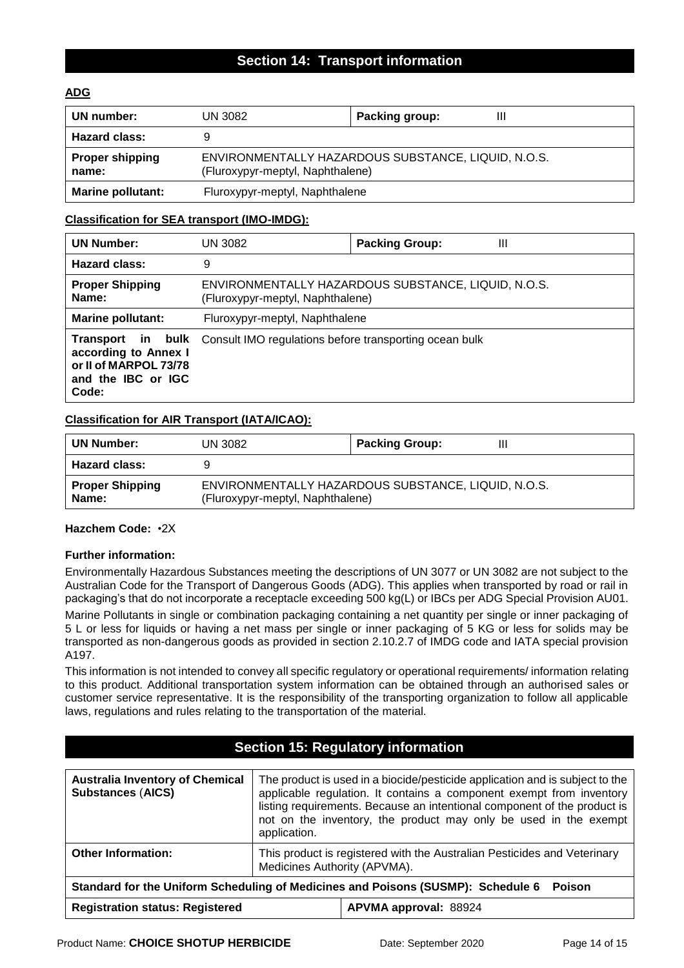### **Section 14: Transport information**

#### **ADG**

| UN number:                      | UN 3082                                                                                 | Packing group: |
|---------------------------------|-----------------------------------------------------------------------------------------|----------------|
| <b>Hazard class:</b>            |                                                                                         |                |
| <b>Proper shipping</b><br>name: | ENVIRONMENTALLY HAZARDOUS SUBSTANCE, LIQUID, N.O.S.<br>(Fluroxypyr-meptyl, Naphthalene) |                |
| <b>Marine pollutant:</b>        | Fluroxypyr-meptyl, Naphthalene                                                          |                |

#### **Classification for SEA transport (IMO-IMDG):**

| <b>UN Number:</b>                                                            | UN 3082                                                                         | Ш<br><b>Packing Group:</b>                          |
|------------------------------------------------------------------------------|---------------------------------------------------------------------------------|-----------------------------------------------------|
| <b>Hazard class:</b>                                                         | 9                                                                               |                                                     |
| <b>Proper Shipping</b><br>Name:                                              | (Fluroxypyr-meptyl, Naphthalene)                                                | ENVIRONMENTALLY HAZARDOUS SUBSTANCE, LIQUID, N.O.S. |
| <b>Marine pollutant:</b>                                                     | Fluroxypyr-meptyl, Naphthalene                                                  |                                                     |
| according to Annex I<br>or II of MARPOL 73/78<br>and the IBC or IGC<br>Code: | <b>Transport in bulk</b> Consult IMO regulations before transporting ocean bulk |                                                     |

#### **Classification for AIR Transport (IATA/ICAO):**

| <b>UN Number:</b>               | UN 3082                                                                                 | <b>Packing Group:</b> | Ш |
|---------------------------------|-----------------------------------------------------------------------------------------|-----------------------|---|
| <b>Hazard class:</b>            |                                                                                         |                       |   |
| <b>Proper Shipping</b><br>Name: | ENVIRONMENTALLY HAZARDOUS SUBSTANCE, LIQUID, N.O.S.<br>(Fluroxypyr-meptyl, Naphthalene) |                       |   |

#### **Hazchem Code:** •2X

#### **Further information:**

Environmentally Hazardous Substances meeting the descriptions of UN 3077 or UN 3082 are not subject to the Australian Code for the Transport of Dangerous Goods (ADG). This applies when transported by road or rail in packaging's that do not incorporate a receptacle exceeding 500 kg(L) or IBCs per ADG Special Provision AU01.

Marine Pollutants in single or combination packaging containing a net quantity per single or inner packaging of 5 L or less for liquids or having a net mass per single or inner packaging of 5 KG or less for solids may be transported as non-dangerous goods as provided in section 2.10.2.7 of IMDG code and IATA special provision A197.

This information is not intended to convey all specific regulatory or operational requirements/ information relating to this product. Additional transportation system information can be obtained through an authorised sales or customer service representative. It is the responsibility of the transporting organization to follow all applicable laws, regulations and rules relating to the transportation of the material.

#### **Section 15: Regulatory information**

| <b>Australia Inventory of Chemical</b><br><b>Substances (AICS)</b>                      | The product is used in a biocide/pesticide application and is subject to the<br>applicable regulation. It contains a component exempt from inventory<br>listing requirements. Because an intentional component of the product is<br>not on the inventory, the product may only be used in the exempt<br>application. |  |
|-----------------------------------------------------------------------------------------|----------------------------------------------------------------------------------------------------------------------------------------------------------------------------------------------------------------------------------------------------------------------------------------------------------------------|--|
| <b>Other Information:</b>                                                               | This product is registered with the Australian Pesticides and Veterinary<br>Medicines Authority (APVMA).                                                                                                                                                                                                             |  |
| Standard for the Uniform Scheduling of Medicines and Poisons (SUSMP): Schedule 6 Poison |                                                                                                                                                                                                                                                                                                                      |  |
| <b>Registration status: Registered</b><br>APVMA approval: 88924                         |                                                                                                                                                                                                                                                                                                                      |  |